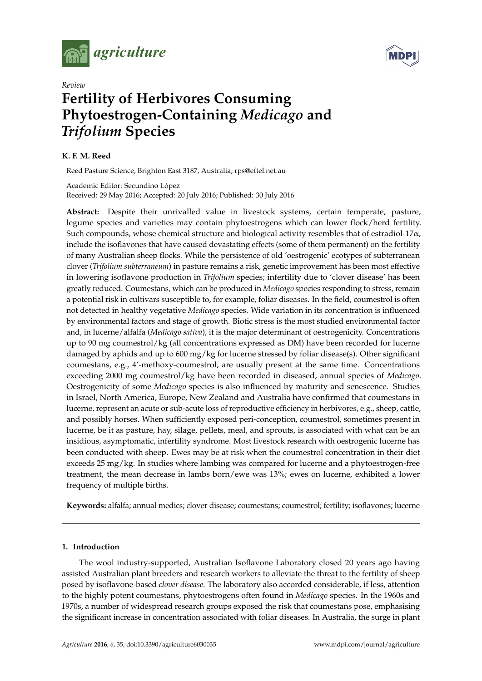



# *Review* **Fertility of Herbivores Consuming Phytoestrogen-Containing** *Medicago* **and** *Trifolium* **Species**

### **K. F. M. Reed**

Reed Pasture Science, Brighton East 3187, Australia; rps@eftel.net.au

Academic Editor: Secundino López Received: 29 May 2016; Accepted: 20 July 2016; Published: 30 July 2016

**Abstract:** Despite their unrivalled value in livestock systems, certain temperate, pasture, legume species and varieties may contain phytoestrogens which can lower flock/herd fertility. Such compounds, whose chemical structure and biological activity resembles that of estradiol-17 $\alpha$ , include the isoflavones that have caused devastating effects (some of them permanent) on the fertility of many Australian sheep flocks. While the persistence of old 'oestrogenic' ecotypes of subterranean clover (*Trifolium subterraneum*) in pasture remains a risk, genetic improvement has been most effective in lowering isoflavone production in *Trifolium* species; infertility due to 'clover disease' has been greatly reduced. Coumestans, which can be produced in *Medicago* species responding to stress, remain a potential risk in cultivars susceptible to, for example, foliar diseases. In the field, coumestrol is often not detected in healthy vegetative *Medicago* species. Wide variation in its concentration is influenced by environmental factors and stage of growth. Biotic stress is the most studied environmental factor and, in lucerne/alfalfa (*Medicago sativa*), it is the major determinant of oestrogenicity. Concentrations up to 90 mg coumestrol/kg (all concentrations expressed as DM) have been recorded for lucerne damaged by aphids and up to 600 mg/kg for lucerne stressed by foliar disease(s). Other significant coumestans, e.g., 4'-methoxy-coumestrol, are usually present at the same time. Concentrations exceeding 2000 mg coumestrol/kg have been recorded in diseased, annual species of *Medicago*. Oestrogenicity of some *Medicago* species is also influenced by maturity and senescence. Studies in Israel, North America, Europe, New Zealand and Australia have confirmed that coumestans in lucerne, represent an acute or sub-acute loss of reproductive efficiency in herbivores, e.g., sheep, cattle, and possibly horses. When sufficiently exposed peri-conception, coumestrol, sometimes present in lucerne, be it as pasture, hay, silage, pellets, meal, and sprouts, is associated with what can be an insidious, asymptomatic, infertility syndrome. Most livestock research with oestrogenic lucerne has been conducted with sheep. Ewes may be at risk when the coumestrol concentration in their diet exceeds 25 mg/kg. In studies where lambing was compared for lucerne and a phytoestrogen-free treatment, the mean decrease in lambs born/ewe was 13%; ewes on lucerne, exhibited a lower frequency of multiple births.

**Keywords:** alfalfa; annual medics; clover disease; coumestans; coumestrol; fertility; isoflavones; lucerne

### **1. Introduction**

The wool industry-supported, Australian Isoflavone Laboratory closed 20 years ago having assisted Australian plant breeders and research workers to alleviate the threat to the fertility of sheep posed by isoflavone-based *clover disease*. The laboratory also accorded considerable, if less, attention to the highly potent coumestans, phytoestrogens often found in *Medicago* species. In the 1960s and 1970s, a number of widespread research groups exposed the risk that coumestans pose, emphasising the significant increase in concentration associated with foliar diseases. In Australia, the surge in plant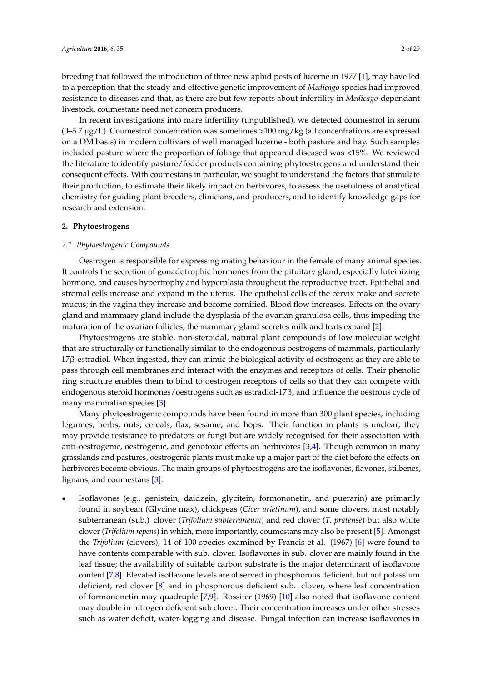breeding that followed the introduction of three new aphid pests of lucerne in 1977 [\[1\]](#page-21-0), may have led to a perception that the steady and effective genetic improvement of *Medicago* species had improved resistance to diseases and that, as there are but few reports about infertility in *Medicago*-dependant livestock, coumestans need not concern producers.

In recent investigations into mare infertility (unpublished), we detected coumestrol in serum  $(0-5.7 \mu g/L)$ . Coumestrol concentration was sometimes >100 mg/kg (all concentrations are expressed on a DM basis) in modern cultivars of well managed lucerne - both pasture and hay. Such samples included pasture where the proportion of foliage that appeared diseased was <15%. We reviewed the literature to identify pasture/fodder products containing phytoestrogens and understand their consequent effects. With coumestans in particular, we sought to understand the factors that stimulate their production, to estimate their likely impact on herbivores, to assess the usefulness of analytical chemistry for guiding plant breeders, clinicians, and producers, and to identify knowledge gaps for research and extension.

### **2. Phytoestrogens**

### *2.1. Phytoestrogenic Compounds*

Oestrogen is responsible for expressing mating behaviour in the female of many animal species. It controls the secretion of gonadotrophic hormones from the pituitary gland, especially luteinizing hormone, and causes hypertrophy and hyperplasia throughout the reproductive tract. Epithelial and stromal cells increase and expand in the uterus. The epithelial cells of the cervix make and secrete mucus; in the vagina they increase and become cornified. Blood flow increases. Effects on the ovary gland and mammary gland include the dysplasia of the ovarian granulosa cells, thus impeding the maturation of the ovarian follicles; the mammary gland secretes milk and teats expand [\[2\]](#page-21-1).

Phytoestrogens are stable, non-steroidal, natural plant compounds of low molecular weight that are structurally or functionally similar to the endogenous oestrogens of mammals, particularly 17β-estradiol. When ingested, they can mimic the biological activity of oestrogens as they are able to pass through cell membranes and interact with the enzymes and receptors of cells. Their phenolic ring structure enables them to bind to oestrogen receptors of cells so that they can compete with endogenous steroid hormones/oestrogens such as estradiol-17β, and influence the oestrous cycle of many mammalian species [\[3\]](#page-21-2).

Many phytoestrogenic compounds have been found in more than 300 plant species, including legumes, herbs, nuts, cereals, flax, sesame, and hops. Their function in plants is unclear; they may provide resistance to predators or fungi but are widely recognised for their association with anti-oestrogenic, oestrogenic, and genotoxic effects on herbivores [\[3](#page-21-2)[,4\]](#page-21-3). Though common in many grasslands and pastures, oestrogenic plants must make up a major part of the diet before the effects on herbivores become obvious. The main groups of phytoestrogens are the isoflavones, flavones, stilbenes, lignans, and coumestans [\[3\]](#page-21-2):

Isoflavones (e.g., genistein, daidzein, glycitein, formononetin, and puerarin) are primarily found in soybean (Glycine max), chickpeas (*Cicer arietinum*), and some clovers, most notably subterranean (sub.) clover (*Trifolium subterraneum*) and red clover (*T. pratense*) but also white clover (*Trifolium repens*) in which, more importantly, coumestans may also be present [\[5\]](#page-22-0). Amongst the *Trifolium* (clovers), 14 of 100 species examined by Francis et al. (1967) [\[6\]](#page-22-1) were found to have contents comparable with sub. clover. Isoflavones in sub. clover are mainly found in the leaf tissue; the availability of suitable carbon substrate is the major determinant of isoflavone content [\[7](#page-22-2)[,8\]](#page-22-3). Elevated isoflavone levels are observed in phosphorous deficient, but not potassium deficient, red clover [\[8\]](#page-22-3) and in phosphorous deficient sub. clover, where leaf concentration of formononetin may quadruple [\[7,](#page-22-2)[9\]](#page-22-4). Rossiter (1969) [\[10\]](#page-22-5) also noted that isoflavone content may double in nitrogen deficient sub clover. Their concentration increases under other stresses such as water deficit, water-logging and disease. Fungal infection can increase isoflavones in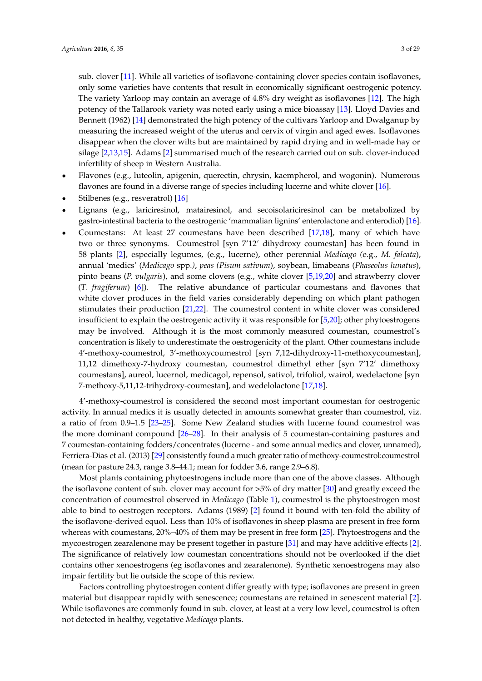sub. clover [\[11\]](#page-22-6). While all varieties of isoflavone-containing clover species contain isoflavones, only some varieties have contents that result in economically significant oestrogenic potency. The variety Yarloop may contain an average of 4.8% dry weight as isoflavones [\[12\]](#page-22-7). The high potency of the Tallarook variety was noted early using a mice bioassay [\[13\]](#page-22-8). Lloyd Davies and Bennett (1962) [\[14\]](#page-22-9) demonstrated the high potency of the cultivars Yarloop and Dwalganup by measuring the increased weight of the uterus and cervix of virgin and aged ewes. Isoflavones disappear when the clover wilts but are maintained by rapid drying and in well-made hay or silage [\[2,](#page-21-1)[13,](#page-22-8)[15\]](#page-22-10). Adams [\[2\]](#page-21-1) summarised much of the research carried out on sub. clover-induced infertility of sheep in Western Australia.

- ' Flavones (e.g., luteolin, apigenin, querectin, chrysin, kaempherol, and wogonin). Numerous flavones are found in a diverse range of species including lucerne and white clover [\[16\]](#page-22-11).
- Stilbenes (e.g., resveratrol) [\[16\]](#page-22-11)
- Lignans (e.g., lariciresinol, matairesinol, and secoisolariciresinol can be metabolized by gastro-intestinal bacteria to the oestrogenic 'mammalian lignins' enterolactone and enterodiol) [\[16\]](#page-22-11).
- Coumestans: At least 27 coumestans have been described [\[17](#page-22-12)[,18\]](#page-22-13), many of which have two or three synonyms. Coumestrol [syn 7'12' dihydroxy coumestan] has been found in 58 plants [\[2\]](#page-21-1), especially legumes, (e.g., lucerne), other perennial *Medicago (*e.g., *M. falcata*), annual 'medics' (*Medicago* spp*.)*, *peas (Pisum sativum*), soybean, limabeans (*Phaseolus lunatus*), pinto beans (*P. vulgaris*), and some clovers (e.g., white clover [\[5](#page-22-0)[,19](#page-22-14)[,20\]](#page-22-15) and strawberry clover (*T. fragiferum*) [\[6\]](#page-22-1)). The relative abundance of particular coumestans and flavones that white clover produces in the field varies considerably depending on which plant pathogen stimulates their production [\[21](#page-22-16)[,22\]](#page-22-17). The coumestrol content in white clover was considered insufficient to explain the oestrogenic activity it was responsible for [\[5](#page-22-0)[,20\]](#page-22-15); other phytoestrogens may be involved. Although it is the most commonly measured coumestan, coumestrol's concentration is likely to underestimate the oestrogenicity of the plant. Other coumestans include 4'-methoxy-coumestrol, 3'-methoxycoumestrol [syn 7,12-dihydroxy-11-methoxycoumestan], 11,12 dimethoxy-7-hydroxy coumestan, coumestrol dimethyl ether [syn 7'12' dimethoxy coumestans], aureol, lucernol, medicagol, repensol, sativol, trifoliol, wairol, wedelactone [syn 7-methoxy-5,11,12-trihydroxy-coumestan], and wedelolactone [\[17](#page-22-12)[,18\]](#page-22-13).

4'-methoxy-coumestrol is considered the second most important coumestan for oestrogenic activity. In annual medics it is usually detected in amounts somewhat greater than coumestrol, viz. a ratio of from 0.9–1.5 [\[23](#page-22-18)[–25\]](#page-22-19). Some New Zealand studies with lucerne found coumestrol was the more dominant compound [\[26](#page-22-20)[–28\]](#page-23-0). In their analysis of 5 coumestan-containing pastures and 7 coumestan-containing fodders/concentrates (lucerne - and some annual medics and clover, unnamed), Ferriera-Dias et al. (2013) [\[29\]](#page-23-1) consistently found a much greater ratio of methoxy-coumestrol:coumestrol (mean for pasture 24.3, range 3.8–44.1; mean for fodder 3.6, range 2.9–6.8).

Most plants containing phytoestrogens include more than one of the above classes. Although the isoflavone content of sub. clover may account for >5% of dry matter [\[30\]](#page-23-2) and greatly exceed the concentration of coumestrol observed in *Medicago* (Table [1\)](#page-9-0), coumestrol is the phytoestrogen most able to bind to oestrogen receptors. Adams (1989) [\[2\]](#page-21-1) found it bound with ten-fold the ability of the isoflavone-derived equol. Less than 10% of isoflavones in sheep plasma are present in free form whereas with coumestans, 20%–40% of them may be present in free form [\[25\]](#page-22-19). Phytoestrogens and the mycoestrogen zearalenone may be present together in pasture [\[31\]](#page-23-3) and may have additive effects [\[2\]](#page-21-1). The significance of relatively low coumestan concentrations should not be overlooked if the diet contains other xenoestrogens (eg isoflavones and zearalenone). Synthetic xenoestrogens may also impair fertility but lie outside the scope of this review.

Factors controlling phytoestrogen content differ greatly with type; isoflavones are present in green material but disappear rapidly with senescence; coumestans are retained in senescent material [\[2\]](#page-21-1). While isoflavones are commonly found in sub. clover, at least at a very low level, coumestrol is often not detected in healthy, vegetative *Medicago* plants.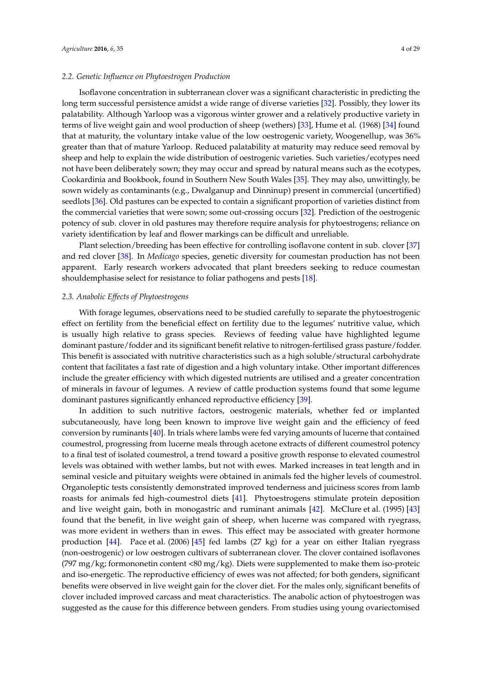### *2.2. Genetic Influence on Phytoestrogen Production*

Isoflavone concentration in subterranean clover was a significant characteristic in predicting the long term successful persistence amidst a wide range of diverse varieties [\[32\]](#page-23-4). Possibly, they lower its palatability. Although Yarloop was a vigorous winter grower and a relatively productive variety in terms of live weight gain and wool production of sheep (wethers) [\[33\]](#page-23-5), Hume et al. (1968) [\[34\]](#page-23-6) found that at maturity, the voluntary intake value of the low oestrogenic variety, Woogenellup, was 36% greater than that of mature Yarloop. Reduced palatability at maturity may reduce seed removal by sheep and help to explain the wide distribution of oestrogenic varieties. Such varieties/ecotypes need not have been deliberately sown; they may occur and spread by natural means such as the ecotypes, Cookardinia and Bookbook, found in Southern New South Wales [\[35\]](#page-23-7). They may also, unwittingly, be sown widely as contaminants (e.g., Dwalganup and Dinninup) present in commercial (uncertified) seedlots [\[36\]](#page-23-8). Old pastures can be expected to contain a significant proportion of varieties distinct from the commercial varieties that were sown; some out-crossing occurs [\[32\]](#page-23-4). Prediction of the oestrogenic potency of sub. clover in old pastures may therefore require analysis for phytoestrogens; reliance on variety identification by leaf and flower markings can be difficult and unreliable.

Plant selection/breeding has been effective for controlling isoflavone content in sub. clover [\[37\]](#page-23-9) and red clover [\[38\]](#page-23-10). In *Medicago* species, genetic diversity for coumestan production has not been apparent. Early research workers advocated that plant breeders seeking to reduce coumestan shouldemphasise select for resistance to foliar pathogens and pests [\[18\]](#page-22-13).

### *2.3. Anabolic Effects of Phytoestrogens*

With forage legumes, observations need to be studied carefully to separate the phytoestrogenic effect on fertility from the beneficial effect on fertility due to the legumes' nutritive value, which is usually high relative to grass species. Reviews of feeding value have highlighted legume dominant pasture/fodder and its significant benefit relative to nitrogen-fertilised grass pasture/fodder. This benefit is associated with nutritive characteristics such as a high soluble/structural carbohydrate content that facilitates a fast rate of digestion and a high voluntary intake. Other important differences include the greater efficiency with which digested nutrients are utilised and a greater concentration of minerals in favour of legumes. A review of cattle production systems found that some legume dominant pastures significantly enhanced reproductive efficiency [\[39\]](#page-23-11).

In addition to such nutritive factors, oestrogenic materials, whether fed or implanted subcutaneously, have long been known to improve live weight gain and the efficiency of feed conversion by ruminants [\[40\]](#page-23-12). In trials where lambs were fed varying amounts of lucerne that contained coumestrol, progressing from lucerne meals through acetone extracts of different coumestrol potency to a final test of isolated coumestrol, a trend toward a positive growth response to elevated coumestrol levels was obtained with wether lambs, but not with ewes. Marked increases in teat length and in seminal vesicle and pituitary weights were obtained in animals fed the higher levels of coumestrol. Organoleptic tests consistently demonstrated improved tenderness and juiciness scores from lamb roasts for animals fed high-coumestrol diets [\[41\]](#page-23-13). Phytoestrogens stimulate protein deposition and live weight gain, both in monogastric and ruminant animals [\[42\]](#page-23-14). McClure et al. (1995) [\[43\]](#page-23-15) found that the benefit, in live weight gain of sheep, when lucerne was compared with ryegrass, was more evident in wethers than in ewes. This effect may be associated with greater hormone production [\[44\]](#page-23-16). Pace et al. (2006) [\[45\]](#page-23-17) fed lambs (27 kg) for a year on either Italian ryegrass (non-oestrogenic) or low oestrogen cultivars of subterranean clover. The clover contained isoflavones (797 mg/kg; formononetin content <80 mg/kg). Diets were supplemented to make them iso-proteic and iso-energetic. The reproductive efficiency of ewes was not affected; for both genders, significant benefits were observed in live weight gain for the clover diet. For the males only, significant benefits of clover included improved carcass and meat characteristics. The anabolic action of phytoestrogen was suggested as the cause for this difference between genders. From studies using young ovariectomised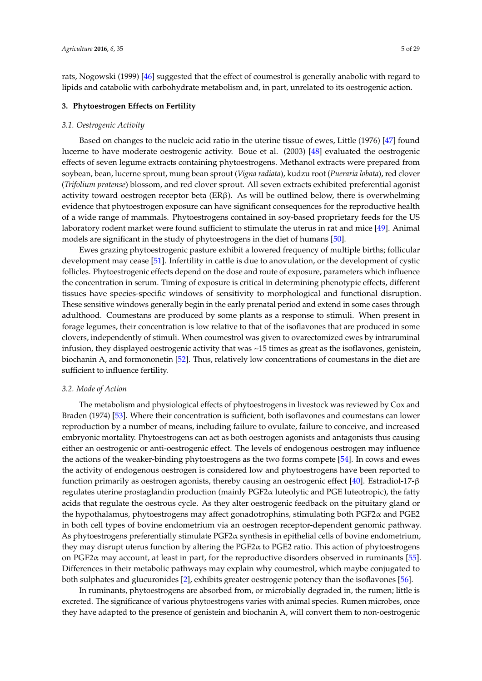rats, Nogowski (1999) [\[46\]](#page-23-18) suggested that the effect of coumestrol is generally anabolic with regard to lipids and catabolic with carbohydrate metabolism and, in part, unrelated to its oestrogenic action.

### **3. Phytoestrogen Effects on Fertility**

#### *3.1. Oestrogenic Activity*

Based on changes to the nucleic acid ratio in the uterine tissue of ewes, Little (1976) [\[47\]](#page-23-19) found lucerne to have moderate oestrogenic activity. Boue et al. (2003) [\[48\]](#page-23-20) evaluated the oestrogenic effects of seven legume extracts containing phytoestrogens. Methanol extracts were prepared from soybean, bean, lucerne sprout, mung bean sprout (*Vigna radiata*), kudzu root (*Pueraria lobata*), red clover (*Trifolium pratense*) blossom, and red clover sprout. All seven extracts exhibited preferential agonist activity toward oestrogen receptor beta ( $ER\beta$ ). As will be outlined below, there is overwhelming evidence that phytoestrogen exposure can have significant consequences for the reproductive health of a wide range of mammals. Phytoestrogens contained in soy-based proprietary feeds for the US laboratory rodent market were found sufficient to stimulate the uterus in rat and mice [\[49\]](#page-24-0). Animal models are significant in the study of phytoestrogens in the diet of humans [\[50\]](#page-24-1).

Ewes grazing phytoestrogenic pasture exhibit a lowered frequency of multiple births; follicular development may cease [\[51\]](#page-24-2). Infertility in cattle is due to anovulation, or the development of cystic follicles. Phytoestrogenic effects depend on the dose and route of exposure, parameters which influence the concentration in serum. Timing of exposure is critical in determining phenotypic effects, different tissues have species-specific windows of sensitivity to morphological and functional disruption. These sensitive windows generally begin in the early prenatal period and extend in some cases through adulthood. Coumestans are produced by some plants as a response to stimuli. When present in forage legumes, their concentration is low relative to that of the isoflavones that are produced in some clovers, independently of stimuli. When coumestrol was given to ovarectomized ewes by intraruminal infusion, they displayed oestrogenic activity that was ~15 times as great as the isoflavones, genistein, biochanin A, and formononetin [\[52\]](#page-24-3). Thus, relatively low concentrations of coumestans in the diet are sufficient to influence fertility.

#### *3.2. Mode of Action*

The metabolism and physiological effects of phytoestrogens in livestock was reviewed by Cox and Braden (1974) [\[53\]](#page-24-4). Where their concentration is sufficient, both isoflavones and coumestans can lower reproduction by a number of means, including failure to ovulate, failure to conceive, and increased embryonic mortality. Phytoestrogens can act as both oestrogen agonists and antagonists thus causing either an oestrogenic or anti-oestrogenic effect. The levels of endogenous oestrogen may influence the actions of the weaker-binding phytoestrogens as the two forms compete [\[54\]](#page-24-5). In cows and ewes the activity of endogenous oestrogen is considered low and phytoestrogens have been reported to function primarily as oestrogen agonists, thereby causing an oestrogenic effect [\[40\]](#page-23-12). Estradiol-17-β regulates uterine prostaglandin production (mainly PGF2α luteolytic and PGE luteotropic), the fatty acids that regulate the oestrous cycle. As they alter oestrogenic feedback on the pituitary gland or the hypothalamus, phytoestrogens may affect gonadotrophins, stimulating both PGF2α and PGE2 in both cell types of bovine endometrium via an oestrogen receptor-dependent genomic pathway. As phytoestrogens preferentially stimulate PGF2α synthesis in epithelial cells of bovine endometrium, they may disrupt uterus function by altering the  $PGF2\alpha$  to  $PGE2$  ratio. This action of phytoestrogens on PGF2 $\alpha$  may account, at least in part, for the reproductive disorders observed in ruminants [\[55\]](#page-24-6). Differences in their metabolic pathways may explain why coumestrol, which maybe conjugated to both sulphates and glucuronides [\[2\]](#page-21-1), exhibits greater oestrogenic potency than the isoflavones [\[56\]](#page-24-7).

In ruminants, phytoestrogens are absorbed from, or microbially degraded in, the rumen; little is excreted. The significance of various phytoestrogens varies with animal species. Rumen microbes, once they have adapted to the presence of genistein and biochanin A, will convert them to non-oestrogenic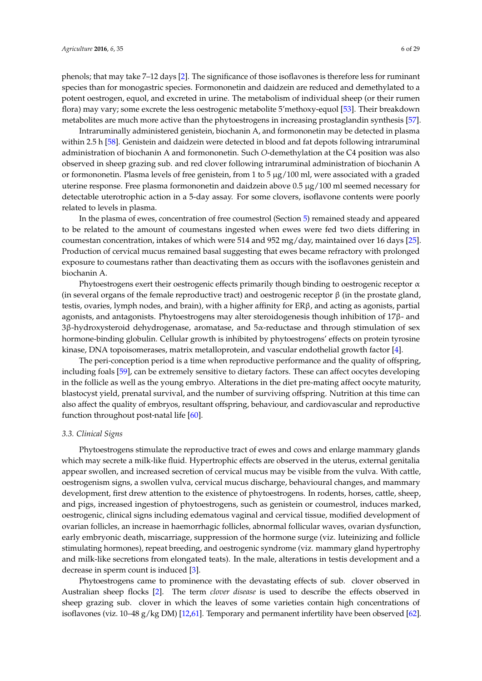phenols; that may take 7–12 days [\[2\]](#page-21-1). The significance of those isoflavones is therefore less for ruminant species than for monogastric species. Formononetin and daidzein are reduced and demethylated to a potent oestrogen, equol, and excreted in urine. The metabolism of individual sheep (or their rumen flora) may vary; some excrete the less oestrogenic metabolite 5'methoxy-equol [\[53\]](#page-24-4). Their breakdown metabolites are much more active than the phytoestrogens in increasing prostaglandin synthesis [\[57\]](#page-24-8).

Intraruminally administered genistein, biochanin A, and formononetin may be detected in plasma within 2.5 h [\[58\]](#page-24-9). Genistein and daidzein were detected in blood and fat depots following intraruminal administration of biochanin A and formononetin. Such *O*-demethylation at the C4 position was also observed in sheep grazing sub. and red clover following intraruminal administration of biochanin A or formononetin. Plasma levels of free genistein, from 1 to 5  $\mu$ g/100 ml, were associated with a graded uterine response. Free plasma formononetin and daidzein above 0.5 µg/100 ml seemed necessary for detectable uterotrophic action in a 5-day assay. For some clovers, isoflavone contents were poorly related to levels in plasma.

In the plasma of ewes, concentration of free coumestrol (Section [5\)](#page-14-0) remained steady and appeared to be related to the amount of coumestans ingested when ewes were fed two diets differing in coumestan concentration, intakes of which were 514 and 952 mg/day, maintained over 16 days [\[25\]](#page-22-19). Production of cervical mucus remained basal suggesting that ewes became refractory with prolonged exposure to coumestans rather than deactivating them as occurs with the isoflavones genistein and biochanin A.

Phytoestrogens exert their oestrogenic effects primarily though binding to oestrogenic receptor  $\alpha$ (in several organs of the female reproductive tract) and oestrogenic receptor  $\beta$  (in the prostate gland, testis, ovaries, lymph nodes, and brain), with a higher affinity for ERβ, and acting as agonists, partial agonists, and antagonists. Phytoestrogens may alter steroidogenesis though inhibition of 17β- and 3β-hydroxysteroid dehydrogenase, aromatase, and 5α-reductase and through stimulation of sex hormone-binding globulin. Cellular growth is inhibited by phytoestrogens' effects on protein tyrosine kinase, DNA topoisomerases, matrix metalloprotein, and vascular endothelial growth factor [\[4\]](#page-21-3).

The peri-conception period is a time when reproductive performance and the quality of offspring, including foals [\[59\]](#page-24-10), can be extremely sensitive to dietary factors. These can affect oocytes developing in the follicle as well as the young embryo. Alterations in the diet pre-mating affect oocyte maturity, blastocyst yield, prenatal survival, and the number of surviving offspring. Nutrition at this time can also affect the quality of embryos, resultant offspring, behaviour, and cardiovascular and reproductive function throughout post-natal life [\[60\]](#page-24-11).

#### *3.3. Clinical Signs*

Phytoestrogens stimulate the reproductive tract of ewes and cows and enlarge mammary glands which may secrete a milk-like fluid. Hypertrophic effects are observed in the uterus, external genitalia appear swollen, and increased secretion of cervical mucus may be visible from the vulva. With cattle, oestrogenism signs, a swollen vulva, cervical mucus discharge, behavioural changes, and mammary development, first drew attention to the existence of phytoestrogens. In rodents, horses, cattle, sheep, and pigs, increased ingestion of phytoestrogens, such as genistein or coumestrol, induces marked, oestrogenic, clinical signs including edematous vaginal and cervical tissue, modified development of ovarian follicles, an increase in haemorrhagic follicles, abnormal follicular waves, ovarian dysfunction, early embryonic death, miscarriage, suppression of the hormone surge (viz. luteinizing and follicle stimulating hormones), repeat breeding, and oestrogenic syndrome (viz. mammary gland hypertrophy and milk-like secretions from elongated teats). In the male, alterations in testis development and a decrease in sperm count is induced [\[3\]](#page-21-2).

Phytoestrogens came to prominence with the devastating effects of sub. clover observed in Australian sheep flocks [\[2\]](#page-21-1). The term *clover disease* is used to describe the effects observed in sheep grazing sub. clover in which the leaves of some varieties contain high concentrations of isoflavones (viz. 10–48 g/kg DM) [\[12,](#page-22-7)[61\]](#page-24-12). Temporary and permanent infertility have been observed [\[62\]](#page-24-13).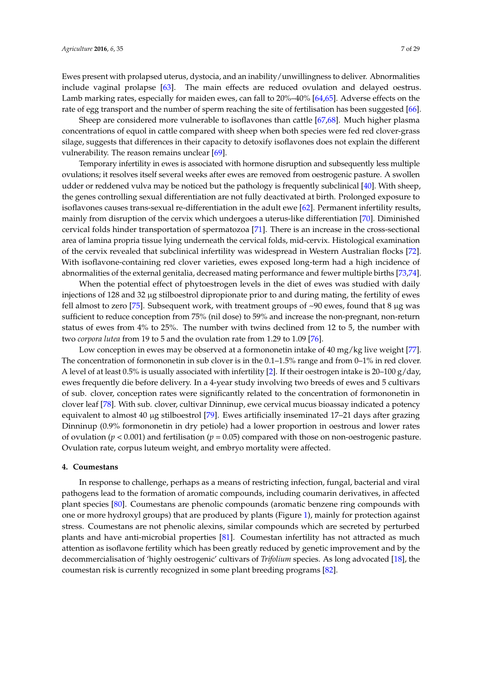Ewes present with prolapsed uterus, dystocia, and an inability/unwillingness to deliver. Abnormalities include vaginal prolapse [\[63\]](#page-24-14). The main effects are reduced ovulation and delayed oestrus. Lamb marking rates, especially for maiden ewes, can fall to 20%–40% [\[64,](#page-24-15)[65\]](#page-24-16). Adverse effects on the rate of egg transport and the number of sperm reaching the site of fertilisation has been suggested [\[66\]](#page-24-17).

Sheep are considered more vulnerable to isoflavones than cattle [\[67](#page-24-18)[,68\]](#page-24-19). Much higher plasma concentrations of equol in cattle compared with sheep when both species were fed red clover-grass silage, suggests that differences in their capacity to detoxify isoflavones does not explain the different vulnerability. The reason remains unclear [\[69\]](#page-24-20).

Temporary infertility in ewes is associated with hormone disruption and subsequently less multiple ovulations; it resolves itself several weeks after ewes are removed from oestrogenic pasture. A swollen udder or reddened vulva may be noticed but the pathology is frequently subclinical [\[40\]](#page-23-12). With sheep, the genes controlling sexual differentiation are not fully deactivated at birth. Prolonged exposure to isoflavones causes trans-sexual re-differentiation in the adult ewe [\[62\]](#page-24-13). Permanent infertility results, mainly from disruption of the cervix which undergoes a uterus-like differentiation [\[70\]](#page-24-21). Diminished cervical folds hinder transportation of spermatozoa [\[71\]](#page-24-22). There is an increase in the cross-sectional area of lamina propria tissue lying underneath the cervical folds, mid-cervix. Histological examination of the cervix revealed that subclinical infertility was widespread in Western Australian flocks [\[72\]](#page-25-0). With isoflavone-containing red clover varieties, ewes exposed long-term had a high incidence of abnormalities of the external genitalia, decreased mating performance and fewer multiple births [\[73](#page-25-1)[,74\]](#page-25-2).

When the potential effect of phytoestrogen levels in the diet of ewes was studied with daily injections of 128 and 32 µg stilboestrol dipropionate prior to and during mating, the fertility of ewes fell almost to zero [\[75\]](#page-25-3). Subsequent work, with treatment groups of  $\sim 90$  ewes, found that 8 µg was sufficient to reduce conception from 75% (nil dose) to 59% and increase the non-pregnant, non-return status of ewes from 4% to 25%. The number with twins declined from 12 to 5, the number with two *corpora lutea* from 19 to 5 and the ovulation rate from 1.29 to 1.09 [\[76\]](#page-25-4).

Low conception in ewes may be observed at a formononetin intake of 40 mg/kg live weight [\[77\]](#page-25-5). The concentration of formononetin in sub clover is in the  $0.1-1.5\%$  range and from  $0-1\%$  in red clover. A level of at least 0.5% is usually associated with infertility [\[2\]](#page-21-1). If their oestrogen intake is 20–100  $g/day$ , ewes frequently die before delivery. In a 4-year study involving two breeds of ewes and 5 cultivars of sub. clover, conception rates were significantly related to the concentration of formononetin in clover leaf [\[78\]](#page-25-6). With sub. clover, cultivar Dinninup, ewe cervical mucus bioassay indicated a potency equivalent to almost 40 µg stilboestrol [\[79\]](#page-25-7). Ewes artificially inseminated 17–21 days after grazing Dinninup (0.9% formononetin in dry petiole) had a lower proportion in oestrous and lower rates of ovulation (*p* < 0.001) and fertilisation (*p* = 0.05) compared with those on non-oestrogenic pasture. Ovulation rate, corpus luteum weight, and embryo mortality were affected.

#### **4. Coumestans**

In response to challenge, perhaps as a means of restricting infection, fungal, bacterial and viral pathogens lead to the formation of aromatic compounds, including coumarin derivatives, in affected plant species [\[80\]](#page-25-8). Coumestans are phenolic compounds (aromatic benzene ring compounds with one or more hydroxyl groups) that are produced by plants (Figure [1\)](#page-7-0), mainly for protection against stress. Coumestans are not phenolic alexins, similar compounds which are secreted by perturbed plants and have anti-microbial properties [\[81\]](#page-25-9). Coumestan infertility has not attracted as much attention as isoflavone fertility which has been greatly reduced by genetic improvement and by the decommercialisation of 'highly oestrogenic' cultivars of *Trifolium* species. As long advocated [\[18\]](#page-22-13), the coumestan risk is currently recognized in some plant breeding programs [\[82\]](#page-25-10).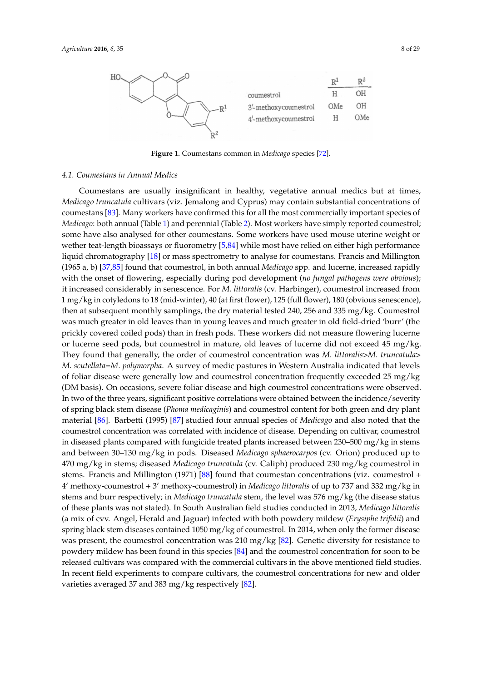<span id="page-7-0"></span>

**Figure 1.** Coumestans common in *Medicago* species [72]. **Figure 1.** Coumestans common in *Medicago* species [\[72\]](#page-25-0).

## *4.1. Coumestans in Annual Medics 4.1. Coumestans in Annual Medics*

Coumestans are usually insignificant in healthy, vegetative annual medics but at times, Coumestans are usually insignificant in healthy, vegetative annual medics but at times, *Medicago truncatula* cultivars (viz. Jemalong and Cyprus) may contain substantial concentrations of *Medicago truncatula* cultivars (viz. Jemalong and Cyprus) may contain substantial concentrations of coumestans [\[83\]](#page-25-11). Many workers have confirmed this for all the most commercially important species of of *Medicago*: both annual (Table 1) and perennial (Table 2). Most workers have simply reported *Medicago*: both annual (Table [1\)](#page-9-0) and perennial (Table [2\)](#page-12-0). Most workers have simply reported coumestrol; some have also analysed for other coumestans. Some workers have used mouse uterine weight or wether teat-length bioassays or fluorometry [\[5,](#page-22-0)[84\]](#page-25-12) while most have relied on either high performance<br>we there is a local contract of the local contract of the local contract of the local contract of the local co liquid chromatography [\[18\]](#page-22-13) or mass spectrometry to analyse for coumestans. Francis and Millington<br>(1865 - 1) IST 8716-011 and Millington (1965 a, b) [37,85] found that coumestrol, in both annual *Medicago* spp. and lucerne, (1965 a, b) [\[37](#page-23-9)[,85\]](#page-25-13) found that coumestrol, in both annual *Medicago* spp. and lucerne, increased rapidly with the onset of flowering, especially during pod development (*no fungal pathogens were obvious*);<br>with the onset of flowering, especially during pod development (*no fungal pathogens were obvious*); *pathogens were obvious*); it increased considerably in senescence. For *M. littoralis* (cv. Harbinger), it increased considerably in senescence. For *M. littoralis* (cv. Harbinger), coumestrol increased from 1 mg/kg in cotyledons to 18 (mid-winter), 40 (at first flower), 125 (full flower), 180 (obvious senescence), then at subsequent monthly samplings, the dry material tested 240, 256 and 335 mg/kg. Coumestrol was much greater in old leaves than in young leaves and much greater in old field-dried 'burr' (the prickly covered coiled pods) than in fresh pods. These workers did not measure flowering lucerne or lucerne seed pods, but coumestrol in mature, old leaves of lucerne did not exceed 45 mg/kg. They found that generally, the order of coumestrol concentration was *M. littoralis>M. truncatula>* M. scutellata=M. polymorpha. A survey of medic pastures in Western Australia indicated that levels of foliar disease were generally low and coumestrol concentration frequently exceeded 25 mg/kg (DM basis). On occasions, severe foliar disease and high coumestrol concentrations were observed. In two of the three years, significant positive correlations were obtained between the incidence/severity of spring black stem disease (*Phoma medicaginis*) and coumestrol content for both green and dry plant material [\[86\]](#page-25-14). Barbetti (1995) [\[87\]](#page-25-15) studied four annual species of *Medicago* and also noted that the coumestrol concentration was correlated with incidence of disease. Depending on cultivar, coumestrol concentration was correlated with incidence of disease. Depending on cultivar, coumestrol in diseased plants compared with fungicide treated plants increased between  $230-500$  mg/kg in stems and between 30–130 mg/kg in pods. Diseased *Medicago sphaerocarpos* (cv. Orion) produced up to 470 mg/kg in stems; diseased *Medicago truncatula* (cv. Caliph) produced 230 mg/kg coumestrol in *trumcatula and Millington (1971) [\[88\]](#page-25-16) found that coumestan concentrations (viz. coumestrol +*  $\frac{1}{2}$ found that coumestan concentrations (viz. coumestrol + 4' methoxy-coumestrol + 3' 4' methoxy-coumestrol + 3' methoxy-coumestrol) in *Medicago littoralis* of up to 737 and 332 mg/kg in stems and burr respectively; in *Medicago truncatula* stem, the level was 576 mg/kg (the disease status in the level was  $\frac{1}{2}$ of these plants was not stated). In South Australian field studies conducted in 2013, *Medicago littoralis* stated). In South Australian field studies conducted in 2013, *Medicago littoralis* (a mix of cvv. Angel, (a mix of cvv. Angel, Herald and Jaguar) infected with both powdery mildew (*Erysiphe trifolii*) and spring black stem diseases contained 1050 mg/kg of coumestrol. In 2014, when only the former disease was present, the coumestrol concentration was 210 mg/kg [\[82\]](#page-25-10). Genetic diversity for resistance to powdery mildew has been found in this species  $[84]$  and the coumestrol concentration for soon to be released cultivars was compared with the commercial cultivars in the above mentioned field studies.<br>-In recent field experiments to compare cultivars, the coumestrol concentrations for new and older varieties averaged 37 and 383 mg/kg respectively [\[82\]](#page-25-10).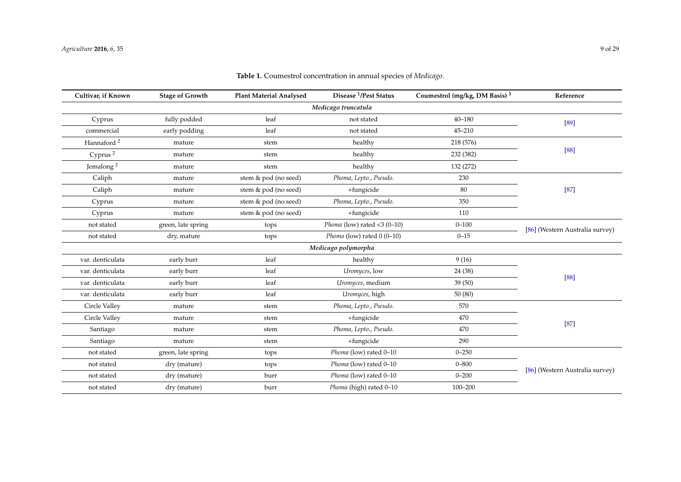| Cultivar, if Known     | <b>Stage of Growth</b> | <b>Plant Material Analysed</b> | Disease <sup>1</sup> /Pest Status | Coumestrol (mg/kg, DM Basis) <sup>3</sup> | Reference                       |  |
|------------------------|------------------------|--------------------------------|-----------------------------------|-------------------------------------------|---------------------------------|--|
| Medicago truncatula    |                        |                                |                                   |                                           |                                 |  |
| Cyprus                 | fully podded           | leaf                           | not stated                        | $40 - 180$                                | $[89]$                          |  |
| commercial             | early podding          | leaf                           | not stated                        | $45 - 210$                                |                                 |  |
| Hannaford <sup>2</sup> | mature                 | stem                           | healthy                           | 218 (576)                                 |                                 |  |
| Cyprus <sup>2</sup>    | mature                 | stem                           | healthy                           | 232 (382)                                 | $[88]$                          |  |
| Jemalong <sup>2</sup>  | mature                 | stem                           | healthy                           | 132 (272)                                 |                                 |  |
| Caliph                 | mature                 | stem & pod (no seed)           | Phoma, Lepto., Pseudo.            | 230                                       |                                 |  |
| Caliph                 | mature                 | stem & pod (no seed)           | +fungicide                        | 80                                        | $[87]$                          |  |
| Cyprus                 | mature                 | stem & pod (no seed)           | Phoma, Lepto., Pseudo.            | 350                                       |                                 |  |
| Cyprus                 | mature                 | stem & pod (no seed)           | +fungicide                        | 110                                       |                                 |  |
| not stated             | green, late spring     | tops                           | Phoma (low) rated $<$ 3 (0-10)    | $0 - 100$                                 | [86] (Western Australia survey) |  |
| not stated             | dry, mature            | tops                           | Phoma (low) rated $0(0-10)$       | $0 - 15$                                  |                                 |  |
|                        |                        |                                | Medicago polymorpha               |                                           |                                 |  |
| var. denticulata       | early burr             | leaf                           | healthy                           | 9(16)                                     |                                 |  |
| var. denticulata       | early burr             | leaf                           | Uromyces, low                     | 24 (38)                                   | $[88]$                          |  |
| var. denticulata       | early burr             | leaf                           | Uromyces, medium                  | 39(50)                                    |                                 |  |
| var. denticulata       | early burr             | leaf                           | Uromyces, high                    | 50(80)                                    |                                 |  |
| Circle Valley          | mature                 | stem                           | Phoma, Lepto., Pseudo.            | 570                                       |                                 |  |
| Circle Valley          | mature                 | stem                           | +fungicide                        | 470                                       |                                 |  |
| Santiago               | mature                 | stem                           | Phoma, Lepto., Pseudo.            | 470                                       | $[87]$                          |  |
| Santiago               | mature                 | stem                           | +fungicide                        | 290                                       |                                 |  |
| not stated             | green, late spring     | tops                           | Phoma (low) rated 0-10            | $0 - 250$                                 |                                 |  |
| not stated             | dry (mature)           | tops                           | Phoma (low) rated 0-10            | $0 - 800$                                 | [86] (Western Australia survey) |  |
| not stated             | dry (mature)           | burr                           | Phoma (low) rated 0-10            | $0 - 200$                                 |                                 |  |
| not stated             | dry (mature)           | burr                           | Phoma (high) rated 0-10           | $100 - 200$                               |                                 |  |

### **Table 1.** Coumestrol concentration in annual species of *Medicago.*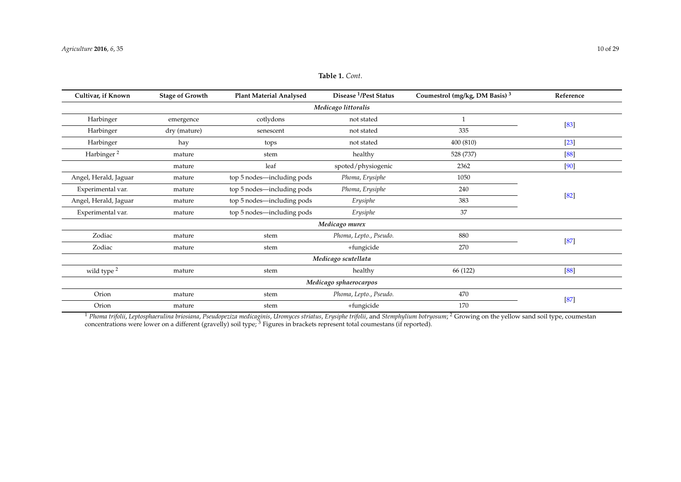| Cultivar, if Known     | <b>Stage of Growth</b>                          | <b>Plant Material Analysed</b> | Disease <sup>1</sup> /Pest Status | Coumestrol (mg/kg, DM Basis) <sup>3</sup> | Reference |  |  |
|------------------------|-------------------------------------------------|--------------------------------|-----------------------------------|-------------------------------------------|-----------|--|--|
| Medicago littoralis    |                                                 |                                |                                   |                                           |           |  |  |
| Harbinger              | emergence                                       | cotlydons                      | not stated                        |                                           | $[83]$    |  |  |
| Harbinger              | dry (mature)                                    | senescent                      | not stated                        | 335                                       |           |  |  |
| Harbinger              | hay                                             | tops                           | not stated                        | 400 (810)                                 | $[23]$    |  |  |
| Harbinger <sup>2</sup> | mature                                          | stem                           | healthy                           | 528 (737)                                 | [88]      |  |  |
|                        | mature                                          | leaf                           | spoted/physiogenic                | 2362                                      | [90]      |  |  |
| Angel, Herald, Jaguar  | mature                                          | top 5 nodes—including pods     | Phoma, Erysiphe                   | 1050                                      |           |  |  |
| Experimental var.      | mature                                          | top 5 nodes—including pods     | Phoma, Erysiphe                   | 240                                       | $[82]$    |  |  |
| Angel, Herald, Jaguar  | mature                                          | top 5 nodes—including pods     | Erysiphe                          | 383                                       |           |  |  |
| Experimental var.      | mature                                          | top 5 nodes—including pods     | Erysiphe                          | 37                                        |           |  |  |
|                        |                                                 |                                | Medicago murex                    |                                           |           |  |  |
| Zodiac                 | mature                                          | stem                           | Phoma, Lepto., Pseudo.            | 880                                       | $[87]$    |  |  |
| Zodiac                 | mature                                          | stem                           | +fungicide                        | 270                                       |           |  |  |
|                        |                                                 |                                | Medicago scutellata               |                                           |           |  |  |
| wild type <sup>2</sup> | mature                                          | stem                           | healthy                           | 66 (122)                                  | [88]      |  |  |
|                        |                                                 |                                | Medicago sphaerocarpos            |                                           |           |  |  |
| Orion                  | 470<br>Phoma, Lepto., Pseudo.<br>mature<br>stem |                                |                                   |                                           |           |  |  |
| Orion                  | mature                                          | stem                           | +fungicide                        | 170                                       | $[87]$    |  |  |

### **Table 1.** *Cont*.

<span id="page-9-0"></span> $^1$  Phoma trifolii, Leptosphaerulina briosiana, Pseudopeziza medicaginis, Uromyces striatus, Erysiphe trifolii, and Stemphylium botryosum;  $^2$  Growing on the yellow sand soil type, coumestan concentrations were lower on a different (gravelly) soil type; <sup>3</sup> Figures in brackets represent total coumestans (if reported).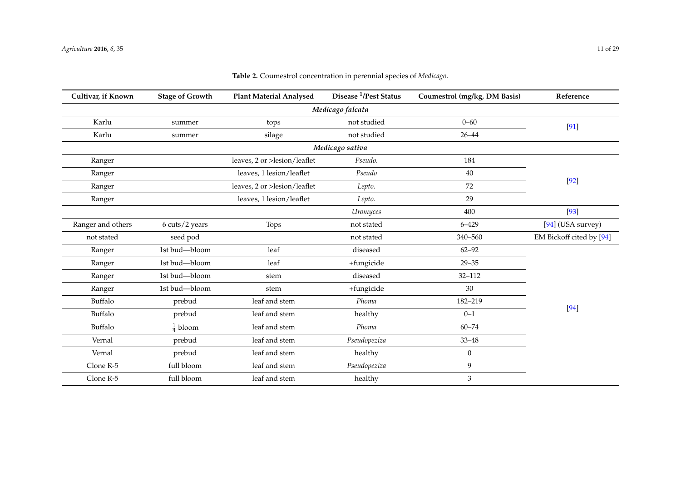| Cultivar, if Known | <b>Stage of Growth</b> | <b>Plant Material Analysed</b> | Disease <sup>1</sup> /Pest Status | Coumestrol (mg/kg, DM Basis) | Reference                |  |
|--------------------|------------------------|--------------------------------|-----------------------------------|------------------------------|--------------------------|--|
| Medicago falcata   |                        |                                |                                   |                              |                          |  |
| Karlu              | summer                 | tops                           | not studied                       | $0 - 60$                     | $[91]$                   |  |
| Karlu              | summer                 | silage                         | not studied                       | $26 - 44$                    |                          |  |
|                    |                        |                                | Medicago sativa                   |                              |                          |  |
| Ranger             |                        | leaves, 2 or >lesion/leaflet   | Pseudo.                           | 184                          |                          |  |
| Ranger             |                        | leaves, 1 lesion/leaflet       | Pseudo                            | 40                           |                          |  |
| Ranger             |                        | leaves, 2 or >lesion/leaflet   | Lepto.                            | 72                           | $[92]$                   |  |
| Ranger             |                        | leaves, 1 lesion/leaflet       | Lepto.                            | 29                           |                          |  |
|                    |                        |                                | Uromyces                          | 400                          | $[93]$                   |  |
| Ranger and others  | 6 cuts/2 years         | Tops                           | not stated                        | $6 - 429$                    | $[94]$ (USA survey)      |  |
| not stated         | seed pod               |                                | not stated                        | 340-560                      | EM Bickoff cited by [94] |  |
| Ranger             | 1st bud-bloom          | leaf                           | diseased                          | $62 - 92$                    |                          |  |
| Ranger             | 1st bud-bloom          | leaf                           | +fungicide                        | $29 - 35$                    |                          |  |
| Ranger             | 1st bud-bloom          | stem                           | diseased                          | $32 - 112$                   |                          |  |
| Ranger             | 1st bud-bloom          | stem                           | +fungicide                        | 30                           |                          |  |
| Buffalo            | prebud                 | leaf and stem                  | Phoma                             | 182-219                      |                          |  |
| Buffalo            | prebud                 | leaf and stem                  | healthy                           | $0 - 1$                      | $[94]$                   |  |
| Buffalo            | $\frac{1}{4}$ bloom    | leaf and stem                  | Phoma                             | $60 - 74$                    |                          |  |
| Vernal             | prebud                 | leaf and stem                  | Pseudopeziza                      | $33 - 48$                    |                          |  |
| Vernal             | prebud                 | leaf and stem                  | healthy                           | $\mathbf{0}$                 |                          |  |
| Clone R-5          | full bloom             | leaf and stem                  | Pseudopeziza                      | 9                            |                          |  |
| Clone R-5          | full bloom             | leaf and stem                  | healthy                           | $\ensuremath{\mathfrak{Z}}$  |                          |  |

### **Table 2.** Coumestrol concentration in perennial species of *Medicago.*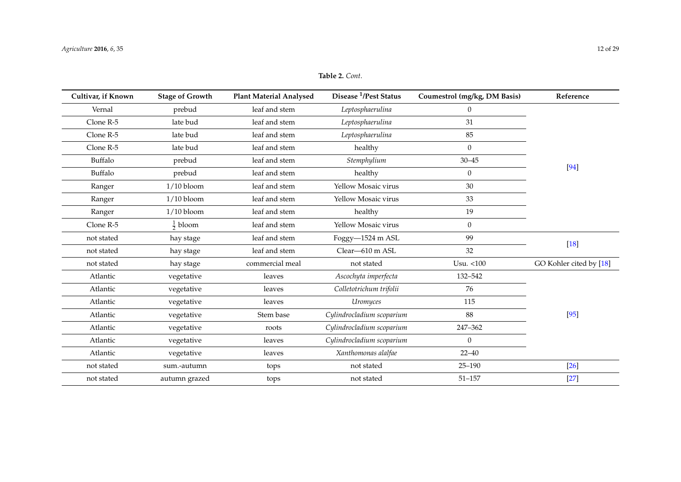| t.                        |                              |           |
|---------------------------|------------------------------|-----------|
| <sup>1</sup> /Pest Status | Coumestrol (mg/kg, DM Basis) | Reference |
| sphaerulina               |                              |           |
| cnhaerulina               |                              |           |

| Cultivar, if Known | <b>Stage of Growth</b> | <b>Plant Material Analysed</b> | Disease <sup>1</sup> /Pest Status | Coumestrol (mg/kg, DM Basis) | Reference               |
|--------------------|------------------------|--------------------------------|-----------------------------------|------------------------------|-------------------------|
| Vernal             | prebud                 | leaf and stem                  | Leptosphaerulina                  | $\theta$                     |                         |
| Clone R-5          | late bud               | leaf and stem                  | Leptosphaerulina                  | 31                           |                         |
| Clone R-5          | late bud               | leaf and stem                  | Leptosphaerulina                  | 85                           |                         |
| Clone R-5          | late bud               | leaf and stem                  | healthy                           | $\mathbf{0}$                 |                         |
| Buffalo            | prebud                 | leaf and stem                  | Stemphylium                       | $30 - 45$                    |                         |
| Buffalo            | prebud                 | leaf and stem                  | healthy                           | $\theta$                     | $[94]$                  |
| Ranger             | $1/10$ bloom           | leaf and stem                  | Yellow Mosaic virus               | 30                           |                         |
| Ranger             | $1/10$ bloom           | leaf and stem                  | Yellow Mosaic virus               | 33                           |                         |
| Ranger             | $1/10$ bloom           | leaf and stem                  | healthy                           | 19                           |                         |
| Clone R-5          | $rac{1}{2}$ bloom      | leaf and stem                  | Yellow Mosaic virus               | $\theta$                     |                         |
| not stated         | hay stage              | leaf and stem                  | Foggy-1524 m ASL                  | 99                           |                         |
| not stated         | hay stage              | leaf and stem                  | Clear-610 m ASL                   | 32                           | $[18]$                  |
| not stated         | hay stage              | commercial meal                | not stated                        | Usu. <100                    | GO Kohler cited by [18] |
| Atlantic           | vegetative             | leaves                         | Ascochyta imperfecta              | 132-542                      |                         |
| Atlantic           | vegetative             | leaves                         | Colletotrichum trifolii           | 76                           |                         |
| Atlantic           | vegetative             | leaves                         | Uromyces                          | 115                          |                         |
| Atlantic           | vegetative             | Stem base                      | Cylindrocladium scoparium         | 88                           | $[95]$                  |
| Atlantic           | vegetative             | roots                          | Cylindrocladium scoparium         | 247-362                      |                         |
| Atlantic           | vegetative             | leaves                         | Cylindrocladium scoparium         | $\mathbf{0}$                 |                         |
| Atlantic           | vegetative             | leaves                         | Xanthomonas alalfae               | $22 - 40$                    |                         |
| not stated         | sum.-autumn            | tops                           | not stated                        | $25 - 190$                   | $[26]$                  |
| not stated         | autumn grazed          | tops                           | not stated                        | $51 - 157$                   | $[27]$                  |

### **Table 2.** *Cont*.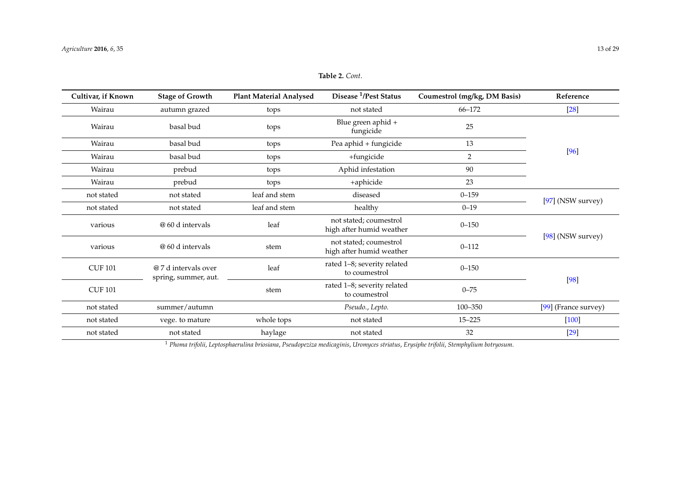| Cultivar, if Known | <b>Stage of Growth</b>                       | <b>Plant Material Analysed</b> | Disease <sup>1</sup> /Pest Status                  | Coumestrol (mg/kg, DM Basis) | Reference            |
|--------------------|----------------------------------------------|--------------------------------|----------------------------------------------------|------------------------------|----------------------|
| Wairau             | autumn grazed                                | tops                           | not stated                                         | 66-172                       | $[28]$               |
| Wairau             | basal bud                                    | tops                           | Blue green aphid +<br>fungicide                    | 25                           |                      |
| Wairau             | basal bud                                    | tops                           | Pea aphid + fungicide                              | 13                           |                      |
| Wairau             | basal bud                                    | tops                           | +fungicide                                         | $\overline{2}$               | $[96]$               |
| Wairau             | prebud                                       | tops                           | Aphid infestation                                  | 90                           |                      |
| Wairau             | prebud                                       | tops                           | +aphicide                                          | 23                           |                      |
| not stated         | not stated                                   | leaf and stem                  | diseased                                           | $0 - 159$                    | $[97]$ (NSW survey)  |
| not stated         | not stated                                   | leaf and stem                  | healthy                                            | $0 - 19$                     |                      |
| various            | @ 60 d intervals                             | leaf                           | not stated; coumestrol<br>high after humid weather | $0 - 150$                    |                      |
| various            | @ 60 d intervals                             | stem                           | not stated; coumestrol<br>high after humid weather | $0 - 112$                    | $[98]$ (NSW survey)  |
| <b>CUF 101</b>     | @ 7 d intervals over<br>spring, summer, aut. | leaf                           | rated 1-8; severity related<br>to coumestrol       | $0 - 150$                    |                      |
| <b>CUF 101</b>     |                                              | stem                           | rated 1-8; severity related<br>to coumestrol       | $0 - 75$                     | $[98]$               |
| not stated         | summer/autumn                                |                                | Pseudo., Lepto.                                    | 100-350                      | [99] (France survey) |
| not stated         | vege. to mature                              | whole tops                     | not stated                                         | $15 - 225$                   | $[100]$              |
| not stated         | not stated                                   | haylage                        | not stated                                         | 32                           | $[29]$               |

### **Table 2.** *Cont*.

<span id="page-12-0"></span><sup>1</sup> *Phoma trifolii*, *Leptosphaerulina briosiana*, *Pseudopeziza medicaginis*, *Uromyces striatus*, *Erysiphe trifolii*, *Stemphylium botryosum*.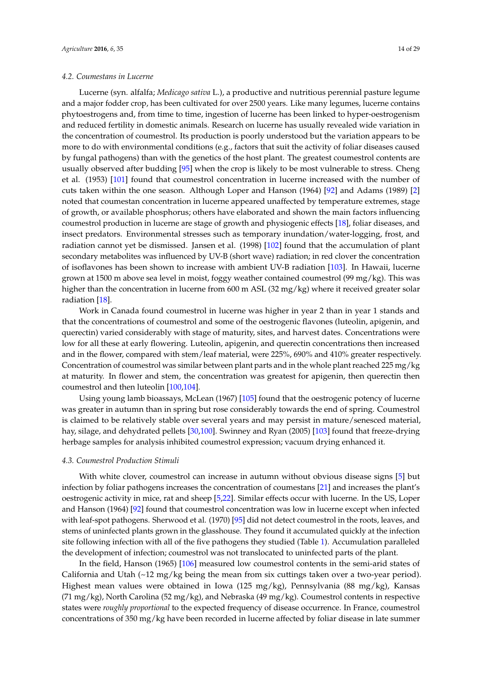### *4.2. Coumestans in Lucerne*

Lucerne (syn. alfalfa; *Medicago sativa* L.), a productive and nutritious perennial pasture legume and a major fodder crop, has been cultivated for over 2500 years. Like many legumes, lucerne contains phytoestrogens and, from time to time, ingestion of lucerne has been linked to hyper-oestrogenism and reduced fertility in domestic animals. Research on lucerne has usually revealed wide variation in the concentration of coumestrol. Its production is poorly understood but the variation appears to be more to do with environmental conditions (e.g., factors that suit the activity of foliar diseases caused by fungal pathogens) than with the genetics of the host plant. The greatest coumestrol contents are usually observed after budding [\[95\]](#page-26-7) when the crop is likely to be most vulnerable to stress. Cheng et al. (1953) [\[101\]](#page-26-8) found that coumestrol concentration in lucerne increased with the number of cuts taken within the one season. Although Loper and Hanson (1964) [\[92\]](#page-25-25) and Adams (1989) [\[2\]](#page-21-1) noted that coumestan concentration in lucerne appeared unaffected by temperature extremes, stage of growth, or available phosphorus; others have elaborated and shown the main factors influencing coumestrol production in lucerne are stage of growth and physiogenic effects [\[18\]](#page-22-13), foliar diseases, and insect predators. Environmental stresses such as temporary inundation/water-logging, frost, and radiation cannot yet be dismissed. Jansen et al. (1998) [\[102\]](#page-26-9) found that the accumulation of plant secondary metabolites was influenced by UV-B (short wave) radiation; in red clover the concentration of isoflavones has been shown to increase with ambient UV-B radiation [\[103\]](#page-26-10). In Hawaii, lucerne grown at 1500 m above sea level in moist, foggy weather contained coumestrol (99 mg/kg). This was higher than the concentration in lucerne from 600 m ASL (32 mg/kg) where it received greater solar radiation [\[18\]](#page-22-13).

Work in Canada found coumestrol in lucerne was higher in year 2 than in year 1 stands and that the concentrations of coumestrol and some of the oestrogenic flavones (luteolin, apigenin, and querectin) varied considerably with stage of maturity, sites, and harvest dates. Concentrations were low for all these at early flowering. Luteolin, apigenin, and querectin concentrations then increased and in the flower, compared with stem/leaf material, were 225%, 690% and 410% greater respectively. Concentration of coumestrol was similar between plant parts and in the whole plant reached 225 mg/kg at maturity. In flower and stem, the concentration was greatest for apigenin, then querectin then coumestrol and then luteolin [\[100,](#page-26-11)[104\]](#page-26-12).

Using young lamb bioassays, McLean (1967) [\[105\]](#page-26-13) found that the oestrogenic potency of lucerne was greater in autumn than in spring but rose considerably towards the end of spring. Coumestrol is claimed to be relatively stable over several years and may persist in mature/senesced material, hay, silage, and dehydrated pellets [\[30,](#page-23-2)[100\]](#page-26-11). Swinney and Ryan (2005) [\[103\]](#page-26-10) found that freeze-drying herbage samples for analysis inhibited coumestrol expression; vacuum drying enhanced it.

#### *4.3. Coumestrol Production Stimuli*

With white clover, coumestrol can increase in autumn without obvious disease signs [\[5\]](#page-22-0) but infection by foliar pathogens increases the concentration of coumestans [\[21\]](#page-22-16) and increases the plant's oestrogenic activity in mice, rat and sheep [\[5,](#page-22-0)[22\]](#page-22-17). Similar effects occur with lucerne. In the US, Loper and Hanson (1964) [\[92\]](#page-25-25) found that coumestrol concentration was low in lucerne except when infected with leaf-spot pathogens. Sherwood et al. (1970) [\[95\]](#page-26-7) did not detect coumestrol in the roots, leaves, and stems of uninfected plants grown in the glasshouse. They found it accumulated quickly at the infection site following infection with all of the five pathogens they studied (Table [1\)](#page-9-0). Accumulation paralleled the development of infection; coumestrol was not translocated to uninfected parts of the plant.

In the field, Hanson (1965) [\[106\]](#page-26-14) measured low coumestrol contents in the semi-arid states of California and Utah  $\left(\sim 12 \text{ mg/kg} \right)$  being the mean from six cuttings taken over a two-year period). Highest mean values were obtained in Iowa (125 mg/kg), Pennsylvania (88 mg/kg), Kansas (71 mg/kg), North Carolina (52 mg/kg), and Nebraska (49 mg/kg). Coumestrol contents in respective states were *roughly proportional* to the expected frequency of disease occurrence. In France, coumestrol concentrations of 350 mg/kg have been recorded in lucerne affected by foliar disease in late summer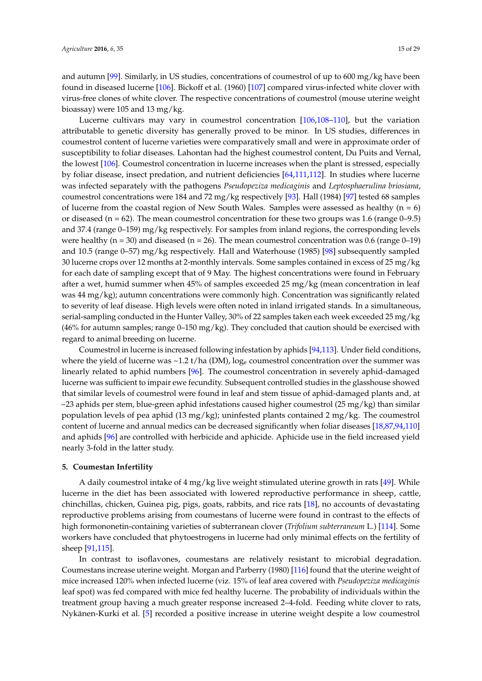and autumn [\[99\]](#page-26-15). Similarly, in US studies, concentrations of coumestrol of up to 600 mg/kg have been found in diseased lucerne [\[106\]](#page-26-14). Bickoff et al. (1960) [\[107\]](#page-26-16) compared virus-infected white clover with virus-free clones of white clover. The respective concentrations of coumestrol (mouse uterine weight bioassay) were 105 and 13 mg/kg.

Lucerne cultivars may vary in coumestrol concentration [\[106,](#page-26-14)[108–](#page-26-17)[110\]](#page-26-18), but the variation attributable to genetic diversity has generally proved to be minor. In US studies, differences in coumestrol content of lucerne varieties were comparatively small and were in approximate order of susceptibility to foliar diseases. Lahontan had the highest coumestrol content, Du Puits and Vernal, the lowest [\[106\]](#page-26-14). Coumestrol concentration in lucerne increases when the plant is stressed, especially by foliar disease, insect predation, and nutrient deficiencies [\[64](#page-24-15)[,111](#page-26-19)[,112\]](#page-26-20). In studies where lucerne was infected separately with the pathogens *Pseudopeziza medicaginis* and *Leptosphaerulina briosiana*, coumestrol concentrations were 184 and 72 mg/kg respectively [\[93\]](#page-25-26). Hall (1984) [\[97\]](#page-26-21) tested 68 samples of lucerne from the coastal region of New South Wales. Samples were assessed as healthy  $(n = 6)$ or diseased (n =  $62$ ). The mean coumestrol concentration for these two groups was 1.6 (range 0–9.5) and 37.4 (range 0–159) mg/kg respectively. For samples from inland regions, the corresponding levels were healthy ( $n = 30$ ) and diseased ( $n = 26$ ). The mean coumestrol concentration was 0.6 (range 0-19) and 10.5 (range 0–57) mg/kg respectively. Hall and Waterhouse (1985) [\[98\]](#page-26-22) subsequently sampled 30 lucerne crops over 12 months at 2-monthly intervals. Some samples contained in excess of 25 mg/kg for each date of sampling except that of 9 May. The highest concentrations were found in February after a wet, humid summer when 45% of samples exceeded 25 mg/kg (mean concentration in leaf was 44 mg/kg); autumn concentrations were commonly high. Concentration was significantly related to severity of leaf disease. High levels were often noted in inland irrigated stands. In a simultaneous, serial-sampling conducted in the Hunter Valley, 30% of 22 samples taken each week exceeded 25 mg/kg  $(46%$  for autumn samples; range 0–150 mg/kg). They concluded that caution should be exercised with regard to animal breeding on lucerne.

Coumestrol in lucerne is increased following infestation by aphids [\[94,](#page-26-23)[113\]](#page-26-24). Under field conditions, where the yield of lucerne was  $\sim$  1.2 t/ha (DM), log<sub>e</sub> coumestrol concentration over the summer was linearly related to aphid numbers [\[96\]](#page-26-25). The coumestrol concentration in severely aphid-damaged lucerne was sufficient to impair ewe fecundity. Subsequent controlled studies in the glasshouse showed that similar levels of coumestrol were found in leaf and stem tissue of aphid-damaged plants and, at ~23 aphids per stem, blue-green aphid infestations caused higher coumestrol (25 mg/kg) than similar population levels of pea aphid (13 mg/kg); uninfested plants contained 2 mg/kg. The coumestrol content of lucerne and annual medics can be decreased significantly when foliar diseases [\[18](#page-22-13)[,87,](#page-25-15)[94,](#page-26-23)[110\]](#page-26-18) and aphids [\[96\]](#page-26-25) are controlled with herbicide and aphicide. Aphicide use in the field increased yield nearly 3-fold in the latter study.

#### <span id="page-14-0"></span>**5. Coumestan Infertility**

A daily coumestrol intake of  $4 \text{ mg/kg}$  live weight stimulated uterine growth in rats [\[49\]](#page-24-0). While lucerne in the diet has been associated with lowered reproductive performance in sheep, cattle, chinchillas, chicken, Guinea pig, pigs, goats, rabbits, and rice rats [\[18\]](#page-22-13), no accounts of devastating reproductive problems arising from coumestans of lucerne were found in contrast to the effects of high formononetin-containing varieties of subterranean clover (*Trifolium subterraneum* L.) [\[114\]](#page-26-26). Some workers have concluded that phytoestrogens in lucerne had only minimal effects on the fertility of sheep [\[91](#page-25-27)[,115\]](#page-26-27).

In contrast to isoflavones, coumestans are relatively resistant to microbial degradation. Coumestans increase uterine weight. Morgan and Parberry (1980) [\[116\]](#page-26-28) found that the uterine weight of mice increased 120% when infected lucerne (viz. 15% of leaf area covered with *Pseudopeziza medicaginis* leaf spot) was fed compared with mice fed healthy lucerne. The probability of individuals within the treatment group having a much greater response increased 2–4-fold. Feeding white clover to rats, Nykänen-Kurki et al. [\[5\]](#page-22-0) recorded a positive increase in uterine weight despite a low coumestrol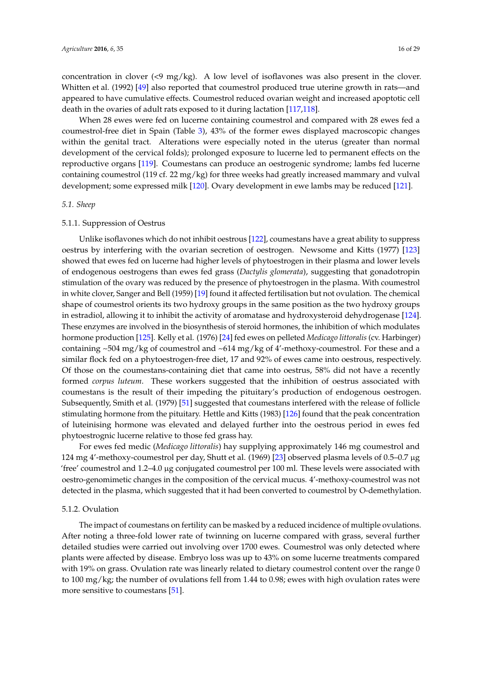concentration in clover (<9 mg/kg). A low level of isoflavones was also present in the clover. Whitten et al. (1992) [\[49\]](#page-24-0) also reported that coumestrol produced true uterine growth in rats—and appeared to have cumulative effects. Coumestrol reduced ovarian weight and increased apoptotic cell death in the ovaries of adult rats exposed to it during lactation [\[117](#page-27-0)[,118\]](#page-27-1).

When 28 ewes were fed on lucerne containing coumestrol and compared with 28 ewes fed a coumestrol-free diet in Spain (Table [3\)](#page-16-0), 43% of the former ewes displayed macroscopic changes within the genital tract. Alterations were especially noted in the uterus (greater than normal development of the cervical folds); prolonged exposure to lucerne led to permanent effects on the reproductive organs [\[119\]](#page-27-2). Coumestans can produce an oestrogenic syndrome; lambs fed lucerne containing coumestrol (119 cf. 22 mg/kg) for three weeks had greatly increased mammary and vulval development; some expressed milk [\[120\]](#page-27-3). Ovary development in ewe lambs may be reduced [\[121\]](#page-27-4).

### *5.1. Sheep*

#### 5.1.1. Suppression of Oestrus

Unlike isoflavones which do not inhibit oestrous [\[122\]](#page-27-5), coumestans have a great ability to suppress oestrus by interfering with the ovarian secretion of oestrogen. Newsome and Kitts (1977) [\[123\]](#page-27-6) showed that ewes fed on lucerne had higher levels of phytoestrogen in their plasma and lower levels of endogenous oestrogens than ewes fed grass (*Dactylis glomerata*), suggesting that gonadotropin stimulation of the ovary was reduced by the presence of phytoestrogen in the plasma. With coumestrol in white clover, Sanger and Bell (1959) [\[19\]](#page-22-14) found it affected fertilisation but not ovulation. The chemical shape of coumestrol orients its two hydroxy groups in the same position as the two hydroxy groups in estradiol, allowing it to inhibit the activity of aromatase and hydroxysteroid dehydrogenase [\[124\]](#page-27-7). These enzymes are involved in the biosynthesis of steroid hormones, the inhibition of which modulates hormone production [\[125\]](#page-27-8). Kelly et al. (1976) [\[24\]](#page-22-24) fed ewes on pelleted *Medicago littoralis* (cv. Harbinger) containing ~504 mg/kg of coumestrol and ~614 mg/kg of 4'-methoxy-coumestrol. For these and a similar flock fed on a phytoestrogen-free diet, 17 and 92% of ewes came into oestrous, respectively. Of those on the coumestans-containing diet that came into oestrus, 58% did not have a recently formed *corpus luteum*. These workers suggested that the inhibition of oestrus associated with coumestans is the result of their impeding the pituitary's production of endogenous oestrogen. Subsequently, Smith et al. (1979) [\[51\]](#page-24-2) suggested that coumestans interfered with the release of follicle stimulating hormone from the pituitary. Hettle and Kitts (1983) [\[126\]](#page-27-9) found that the peak concentration of luteinising hormone was elevated and delayed further into the oestrous period in ewes fed phytoestrognic lucerne relative to those fed grass hay.

For ewes fed medic (*Medicago littoralis*) hay supplying approximately 146 mg coumestrol and 124 mg 4'-methoxy-coumestrol per day, Shutt et al. (1969) [\[23\]](#page-22-18) observed plasma levels of 0.5–0.7 µg 'free' coumestrol and 1.2–4.0 µg conjugated coumestrol per 100 ml. These levels were associated with oestro-genomimetic changes in the composition of the cervical mucus. 4'-methoxy-coumestrol was not detected in the plasma, which suggested that it had been converted to coumestrol by O-demethylation.

#### 5.1.2. Ovulation

The impact of coumestans on fertility can be masked by a reduced incidence of multiple ovulations. After noting a three-fold lower rate of twinning on lucerne compared with grass, several further detailed studies were carried out involving over 1700 ewes. Coumestrol was only detected where plants were affected by disease. Embryo loss was up to 43% on some lucerne treatments compared with 19% on grass. Ovulation rate was linearly related to dietary coumestrol content over the range 0 to 100 mg/kg; the number of ovulations fell from 1.44 to 0.98; ewes with high ovulation rates were more sensitive to coumestans [\[51\]](#page-24-2).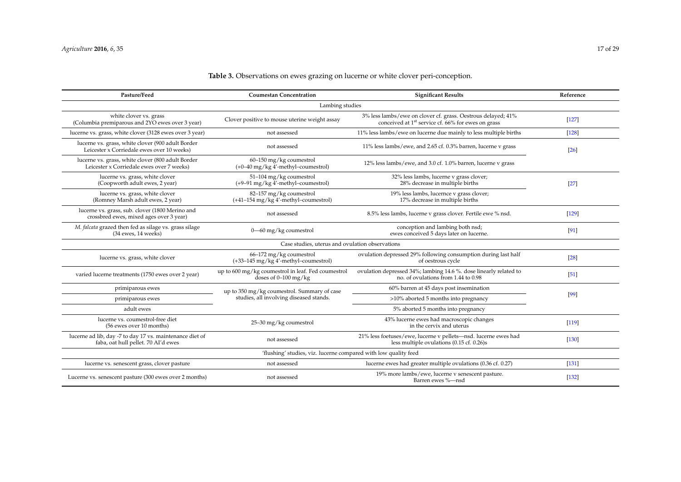### **Table 3.** Observations on ewes grazing on lucerne or white clover peri-conception.

<span id="page-16-0"></span>

| Pasture/Feed                                                                                    | <b>Coumestan Concentration</b>                                                                                                                                                  | <b>Significant Results</b>                                                                                              | Reference |  |  |  |
|-------------------------------------------------------------------------------------------------|---------------------------------------------------------------------------------------------------------------------------------------------------------------------------------|-------------------------------------------------------------------------------------------------------------------------|-----------|--|--|--|
| Lambing studies                                                                                 |                                                                                                                                                                                 |                                                                                                                         |           |  |  |  |
| white clover vs. grass<br>(Columbia premiparous and 2YO ewes over 3 year)                       | 3% less lambs/ewe on clover cf. grass. Oestrous delayed; 41%<br>Clover positive to mouse uterine weight assay<br>conceived at 1 <sup>st</sup> service cf. 66% for ewes on grass |                                                                                                                         | $[127]$   |  |  |  |
| lucerne vs. grass, white clover (3128 ewes over 3 year)                                         | not assessed                                                                                                                                                                    | 11% less lambs/ewe on lucerne due mainly to less multiple births                                                        | $[128]$   |  |  |  |
| lucerne vs. grass, white clover (900 adult Border<br>Leicester x Corriedale ewes over 10 weeks) | not assessed                                                                                                                                                                    | 11% less lambs/ewe, and 2.65 cf. 0.3% barren, lucerne v grass                                                           | $[26]$    |  |  |  |
| lucerne vs. grass, white clover (800 adult Border<br>Leicester x Corriedale ewes over 7 weeks)  | $60-150$ mg/kg coumestrol<br>$(+0-40$ mg/kg 4'-methyl-coumestrol)                                                                                                               | 12% less lambs/ewe, and 3.0 cf. 1.0% barren, lucerne v grass                                                            |           |  |  |  |
| lucerne vs. grass, white clover<br>(Coopworth adult ewes, 2 year)                               | 51-104 mg/kg coumestrol<br>$(+9-91 \text{ mg/kg}$ 4'-methyl-coumestrol)                                                                                                         | 32% less lambs, lucerne v grass clover;<br>28% decrease in multiple births                                              | $[27]$    |  |  |  |
| lucerne vs. grass, white clover<br>(Romney Marsh adult ewes, 2 year)                            | 82-157 mg/kg coumestrol<br>$(+41-154 \text{ mg/kg } 4'$ -methyl-coumestrol)                                                                                                     | 19% less lambs, lucernce v grass clover;<br>17% decrease in multiple births                                             |           |  |  |  |
| lucerne vs. grass, sub. clover (1800 Merino and<br>crossbred ewes, mixed ages over 3 year)      | not assessed                                                                                                                                                                    | 8.5% less lambs, lucerne v grass clover. Fertile ewe % nsd.                                                             | $[129]$   |  |  |  |
| M. falcata grazed then fed as silage vs. grass silage<br>$(34$ ewes, 14 weeks)                  | $0 - 60$ mg/kg coumestrol                                                                                                                                                       | conception and lambing both nsd;<br>ewes conceived 5 days later on lucerne.                                             | [91]      |  |  |  |
|                                                                                                 | Case studies, uterus and ovulation observations                                                                                                                                 |                                                                                                                         |           |  |  |  |
| lucerne vs. grass, white clover                                                                 | $66-172$ mg/kg coumestrol<br>$(+33-145 \text{ mg/kg } 4'$ -methyl-coumestrol)                                                                                                   | ovulation depressed 29% following consumption during last half<br>of oestrous cycle                                     | $[28]$    |  |  |  |
| varied lucerne treatments (1750 ewes over 2 year)                                               | up to 600 mg/kg coumestrol in leaf. Fed coumestrol<br>doses of $0-100$ mg/kg                                                                                                    | ovulation depressed 34%; lambing 14.6 %. dose linearly related to<br>no. of ovulations from 1.44 to 0.98                | [51]      |  |  |  |
| primiparous ewes                                                                                | up to 350 mg/kg coumestrol. Summary of case                                                                                                                                     | 60% barren at 45 days post insemination                                                                                 |           |  |  |  |
| primiparous ewes                                                                                | studies, all involving diseased stands.                                                                                                                                         | >10% aborted 5 months into pregnancy                                                                                    | [99]      |  |  |  |
| adult ewes                                                                                      |                                                                                                                                                                                 | 5% aborted 5 months into pregnancy                                                                                      |           |  |  |  |
| lucerne vs. coumestrol-free diet<br>(56 ewes over 10 months)                                    | 25-30 mg/kg coumestrol                                                                                                                                                          | 43% lucerne ewes had macroscopic changes<br>in the cervix and uterus                                                    | $[119]$   |  |  |  |
| lucerne ad lib, day -7 to day 17 vs. maintenance diet of<br>faba, oat hull pellet. 70 AI'd ewes | not assessed                                                                                                                                                                    | 21% less foetuses/ewe, lucerne v pellets-nsd. lucerne ewes had<br>less multiple ovulations $(0.15 \text{ cf. } 0.26)$ s | $[130]$   |  |  |  |
|                                                                                                 | 'flushing' studies, viz. lucerne compared with low quality feed                                                                                                                 |                                                                                                                         |           |  |  |  |
| lucerne vs. senescent grass, clover pasture                                                     | not assessed                                                                                                                                                                    | lucerne ewes had greater multiple ovulations (0.36 cf. 0.27)                                                            | [131]     |  |  |  |
| Lucerne vs. senescent pasture (300 ewes over 2 months)                                          | not assessed                                                                                                                                                                    | 19% more lambs/ewe, lucerne v senescent pasture.<br>Barren ewes %-nsd                                                   | $[132]$   |  |  |  |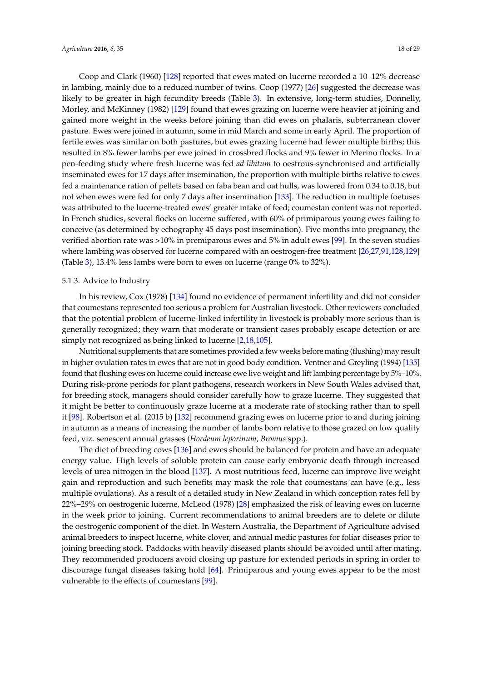Coop and Clark (1960) [\[128\]](#page-27-16) reported that ewes mated on lucerne recorded a 10–12% decrease in lambing, mainly due to a reduced number of twins. Coop (1977) [\[26\]](#page-22-20) suggested the decrease was likely to be greater in high fecundity breeds (Table [3\)](#page-16-0). In extensive, long-term studies, Donnelly, Morley, and McKinney (1982) [\[129\]](#page-27-17) found that ewes grazing on lucerne were heavier at joining and gained more weight in the weeks before joining than did ewes on phalaris, subterranean clover pasture. Ewes were joined in autumn, some in mid March and some in early April. The proportion of fertile ewes was similar on both pastures, but ewes grazing lucerne had fewer multiple births; this resulted in 8% fewer lambs per ewe joined in crossbred flocks and 9% fewer in Merino flocks. In a pen-feeding study where fresh lucerne was fed *ad libitum* to oestrous-synchronised and artificially inseminated ewes for 17 days after insemination, the proportion with multiple births relative to ewes fed a maintenance ration of pellets based on faba bean and oat hulls, was lowered from 0.34 to 0.18, but not when ewes were fed for only 7 days after insemination [\[133\]](#page-27-18). The reduction in multiple foetuses was attributed to the lucerne-treated ewes' greater intake of feed; coumestan content was not reported. In French studies, several flocks on lucerne suffered, with 60% of primiparous young ewes failing to conceive (as determined by echography 45 days post insemination). Five months into pregnancy, the verified abortion rate was >10% in premiparous ewes and 5% in adult ewes [\[99\]](#page-26-15). In the seven studies where lambing was observed for lucerne compared with an oestrogen-free treatment [\[26](#page-22-20)[,27](#page-22-25)[,91,](#page-25-27)[128,](#page-27-16)[129\]](#page-27-17) (Table [3\)](#page-16-0), 13.4% less lambs were born to ewes on lucerne (range 0% to 32%).

### 5.1.3. Advice to Industry

In his review, Cox (1978) [\[134\]](#page-27-19) found no evidence of permanent infertility and did not consider that coumestans represented too serious a problem for Australian livestock. Other reviewers concluded that the potential problem of lucerne-linked infertility in livestock is probably more serious than is generally recognized; they warn that moderate or transient cases probably escape detection or are simply not recognized as being linked to lucerne [\[2,](#page-21-1)[18,](#page-22-13)[105\]](#page-26-13).

Nutritional supplements that are sometimes provided a few weeks before mating (flushing) may result in higher ovulation rates in ewes that are not in good body condition. Ventner and Greyling (1994) [\[135\]](#page-27-20) found that flushing ewes on lucerne could increase ewe live weight and lift lambing percentage by 5%–10%. During risk-prone periods for plant pathogens, research workers in New South Wales advised that, for breeding stock, managers should consider carefully how to graze lucerne. They suggested that it might be better to continuously graze lucerne at a moderate rate of stocking rather than to spell it [\[98\]](#page-26-22). Robertson et al. (2015 b) [\[132\]](#page-27-21) recommend grazing ewes on lucerne prior to and during joining in autumn as a means of increasing the number of lambs born relative to those grazed on low quality feed, viz. senescent annual grasses (*Hordeum leporinum*, *Bromus* spp.).

The diet of breeding cows [\[136\]](#page-27-22) and ewes should be balanced for protein and have an adequate energy value. High levels of soluble protein can cause early embryonic death through increased levels of urea nitrogen in the blood [\[137\]](#page-27-23). A most nutritious feed, lucerne can improve live weight gain and reproduction and such benefits may mask the role that coumestans can have (e.g., less multiple ovulations). As a result of a detailed study in New Zealand in which conception rates fell by 22%–29% on oestrogenic lucerne, McLeod (1978) [\[28\]](#page-23-0) emphasized the risk of leaving ewes on lucerne in the week prior to joining. Current recommendations to animal breeders are to delete or dilute the oestrogenic component of the diet. In Western Australia, the Department of Agriculture advised animal breeders to inspect lucerne, white clover, and annual medic pastures for foliar diseases prior to joining breeding stock. Paddocks with heavily diseased plants should be avoided until after mating. They recommended producers avoid closing up pasture for extended periods in spring in order to discourage fungal diseases taking hold [\[64\]](#page-24-15). Primiparous and young ewes appear to be the most vulnerable to the effects of coumestans [\[99\]](#page-26-15).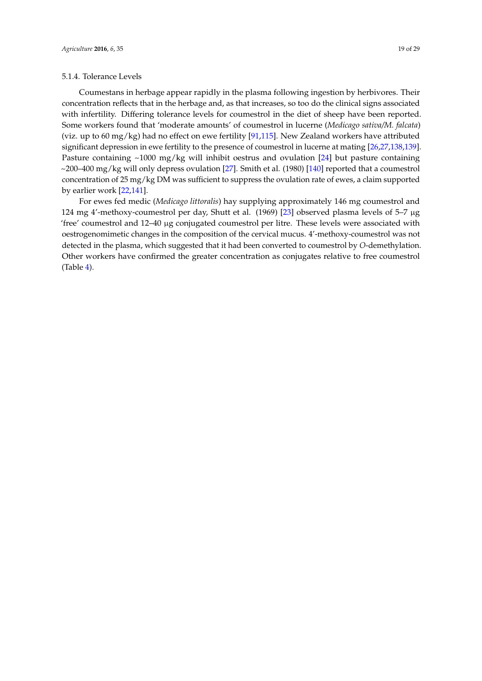### 5.1.4. Tolerance Levels

Coumestans in herbage appear rapidly in the plasma following ingestion by herbivores. Their concentration reflects that in the herbage and, as that increases, so too do the clinical signs associated with infertility. Differing tolerance levels for coumestrol in the diet of sheep have been reported. Some workers found that 'moderate amounts' of coumestrol in lucerne (*Medicago sativa/M. falcata*) (viz. up to 60 mg/kg) had no effect on ewe fertility [\[91,](#page-25-27)[115\]](#page-26-27). New Zealand workers have attributed significant depression in ewe fertility to the presence of coumestrol in lucerne at mating [\[26](#page-22-20)[,27](#page-22-25)[,138](#page-27-24)[,139\]](#page-27-25). Pasture containing  $\sim$ 1000 mg/kg will inhibit oestrus and ovulation [\[24\]](#page-22-24) but pasture containing ~200–400 mg/kg will only depress ovulation [\[27\]](#page-22-25). Smith et al. (1980) [\[140\]](#page-28-0) reported that a coumestrol concentration of 25 mg/kg DM was sufficient to suppress the ovulation rate of ewes, a claim supported by earlier work [\[22,](#page-22-17)[141\]](#page-28-1).

For ewes fed medic (*Medicago littoralis*) hay supplying approximately 146 mg coumestrol and 124 mg 4'-methoxy-coumestrol per day, Shutt et al. (1969) [\[23\]](#page-22-18) observed plasma levels of 5–7 µg 'free' coumestrol and 12–40 µg conjugated coumestrol per litre. These levels were associated with oestrogenomimetic changes in the composition of the cervical mucus. 4'-methoxy-coumestrol was not detected in the plasma, which suggested that it had been converted to coumestrol by *O*-demethylation. Other workers have confirmed the greater concentration as conjugates relative to free coumestrol (Table [4\)](#page-19-0).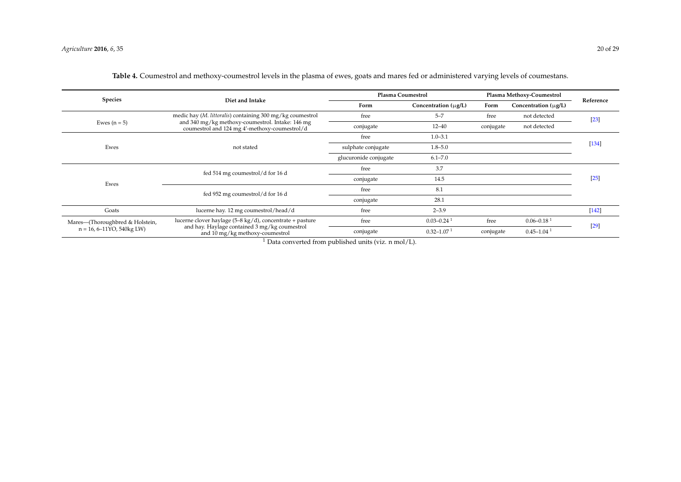<span id="page-19-0"></span>

| Species                                                                       |                                                                                                                                              | <b>Plasma Coumestrol</b> |                            | Plasma Methoxy-Coumestrol |                            | Reference |
|-------------------------------------------------------------------------------|----------------------------------------------------------------------------------------------------------------------------------------------|--------------------------|----------------------------|---------------------------|----------------------------|-----------|
|                                                                               | Diet and Intake                                                                                                                              | Form                     | Concentration $(\mu g/L)$  | Form                      | Concentration $(\mu g/L)$  |           |
|                                                                               | medic hay ( <i>M. littoralis</i> ) containing 300 mg/kg coumestrol                                                                           | free                     | $5 - 7$                    | free                      | not detected               | $[23]$    |
| Ewes $(n = 5)$                                                                | and 340 mg/kg methoxy-coumestrol. Intake: 146 mg<br>coumestrol and 124 mg 4'-methoxy-coumestrol/d                                            | conjugate                | $12 - 40$                  | conjugate                 | not detected               |           |
|                                                                               |                                                                                                                                              | free                     | $1.0 - 3.1$                |                           |                            |           |
| Ewes                                                                          | not stated                                                                                                                                   | sulphate conjugate       | $1.8 - 5.0$                |                           |                            | [134]     |
|                                                                               |                                                                                                                                              | glucuronide conjugate    | $6.1 - 7.0$                |                           |                            |           |
|                                                                               | fed 514 mg coumestrol/d for 16 d                                                                                                             | free                     | 3.7                        |                           |                            |           |
| Ewes                                                                          |                                                                                                                                              | conjugate                | 14.5                       |                           |                            | $[25]$    |
|                                                                               | fed 952 mg coumestrol/d for 16 d                                                                                                             | free                     | 8.1                        |                           |                            |           |
|                                                                               |                                                                                                                                              | conjugate                | 28.1                       |                           |                            |           |
| Goats                                                                         | lucerne hay. 12 mg coumestrol/head/d                                                                                                         | free                     | $2 - 3.9$                  |                           |                            | $[142]$   |
| Mares—(Thoroughbred & Holstein,<br>$n = 16, 6 - 11\text{YO}, 540\text{kg LW}$ | lucerne clover haylage (5–8 kg/d), concentrate + pasture<br>and hay. Haylage contained 3 mg/kg coumestrol<br>and 10 mg/kg methoxy-coumestrol | free                     | $0.03 - 0.24$ <sup>1</sup> | free                      | $0.06 - 0.18$ <sup>1</sup> | $[29]$    |
|                                                                               |                                                                                                                                              | conjugate                | $0.32 - 1.07$ <sup>1</sup> | conjugate                 | $0.45 - 1.04$ <sup>1</sup> |           |

**Table 4.** Coumestrol and methoxy-coumestrol levels in the plasma of ewes, goats and mares fed or administered varying levels of coumestans.

<sup>1</sup> Data converted from published units (viz. n mol/L).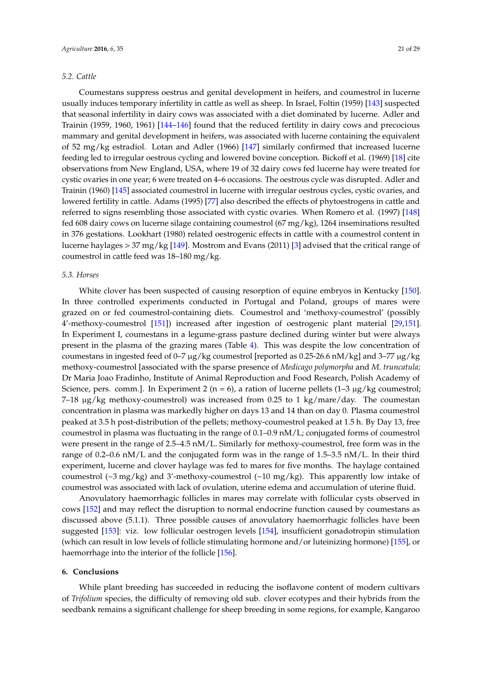### *5.2. Cattle*

Coumestans suppress oestrus and genital development in heifers, and coumestrol in lucerne usually induces temporary infertility in cattle as well as sheep. In Israel, Foltin (1959) [\[143\]](#page-28-3) suspected that seasonal infertility in dairy cows was associated with a diet dominated by lucerne. Adler and Trainin (1959, 1960, 1961) [\[144–](#page-28-4)[146\]](#page-28-5) found that the reduced fertility in dairy cows and precocious mammary and genital development in heifers, was associated with lucerne containing the equivalent of 52 mg/kg estradiol. Lotan and Adler (1966) [\[147\]](#page-28-6) similarly confirmed that increased lucerne feeding led to irregular oestrous cycling and lowered bovine conception. Bickoff et al. (1969) [\[18\]](#page-22-13) cite observations from New England, USA, where 19 of 32 dairy cows fed lucerne hay were treated for cystic ovaries in one year; 6 were treated on 4–6 occasions. The oestrous cycle was disrupted. Adler and Trainin (1960) [\[145\]](#page-28-7) associated coumestrol in lucerne with irregular oestrous cycles, cystic ovaries, and lowered fertility in cattle. Adams (1995) [\[77\]](#page-25-5) also described the effects of phytoestrogens in cattle and referred to signs resembling those associated with cystic ovaries. When Romero et al. (1997) [\[148\]](#page-28-8) fed 608 dairy cows on lucerne silage containing coumestrol (67 mg/kg), 1264 inseminations resulted in 376 gestations. Lookhart (1980) related oestrogenic effects in cattle with a coumestrol content in lucerne haylages > 37 mg/kg [\[149\]](#page-28-9). Mostrom and Evans (2011) [\[3\]](#page-21-2) advised that the critical range of coumestrol in cattle feed was 18–180 mg/kg.

### *5.3. Horses*

White clover has been suspected of causing resorption of equine embryos in Kentucky [\[150\]](#page-28-10). In three controlled experiments conducted in Portugal and Poland, groups of mares were grazed on or fed coumestrol-containing diets. Coumestrol and 'methoxy-coumestrol' (possibly 4'-methoxy-coumestrol [\[151\]](#page-28-11)) increased after ingestion of oestrogenic plant material [\[29,](#page-23-1)[151\]](#page-28-11). In Experiment I, coumestans in a legume-grass pasture declined during winter but were always present in the plasma of the grazing mares (Table [4\)](#page-19-0). This was despite the low concentration of coumestans in ingested feed of 0–7  $\mu$ g/kg coumestrol [reported as 0.25-26.6 nM/kg] and 3–77  $\mu$ g/kg methoxy-coumestrol [associated with the sparse presence of *Medicago polymorpha* and *M. truncatula;* Dr Maria Joao Fradinho, Institute of Animal Reproduction and Food Research, Polish Academy of Science, pers. comm.]. In Experiment 2 (n = 6), a ration of lucerne pellets  $(1-3 \mu g/kg$  coumestrol;  $7-18 \mu g/kg$  methoxy-coumestrol) was increased from 0.25 to 1 kg/mare/day. The coumestan concentration in plasma was markedly higher on days 13 and 14 than on day 0. Plasma coumestrol peaked at 3.5 h post-distribution of the pellets; methoxy-coumestrol peaked at 1.5 h. By Day 13, free coumestrol in plasma was fluctuating in the range of 0.1–0.9 nM/L; conjugated forms of coumestrol were present in the range of 2.5–4.5 nM/L. Similarly for methoxy-coumestrol, free form was in the range of 0.2–0.6 nM/L and the conjugated form was in the range of 1.5–3.5 nM/L. In their third experiment, lucerne and clover haylage was fed to mares for five months. The haylage contained coumestrol (~3 mg/kg) and 3'-methoxy-coumestrol (~10 mg/kg). This apparently low intake of coumestrol was associated with lack of ovulation, uterine edema and accumulation of uterine fluid.

Anovulatory haemorrhagic follicles in mares may correlate with follicular cysts observed in cows [\[152\]](#page-28-12) and may reflect the disruption to normal endocrine function caused by coumestans as discussed above (5.1.1). Three possible causes of anovulatory haemorrhagic follicles have been suggested [\[153\]](#page-28-13): viz. low follicular oestrogen levels [\[154\]](#page-28-14), insufficient gonadotropin stimulation (which can result in low levels of follicle stimulating hormone and/or luteinizing hormone) [\[155\]](#page-28-15), or haemorrhage into the interior of the follicle [\[156\]](#page-28-16).

### **6. Conclusions**

While plant breeding has succeeded in reducing the isoflavone content of modern cultivars of *Trifolium* species, the difficulty of removing old sub. clover ecotypes and their hybrids from the seedbank remains a significant challenge for sheep breeding in some regions, for example, Kangaroo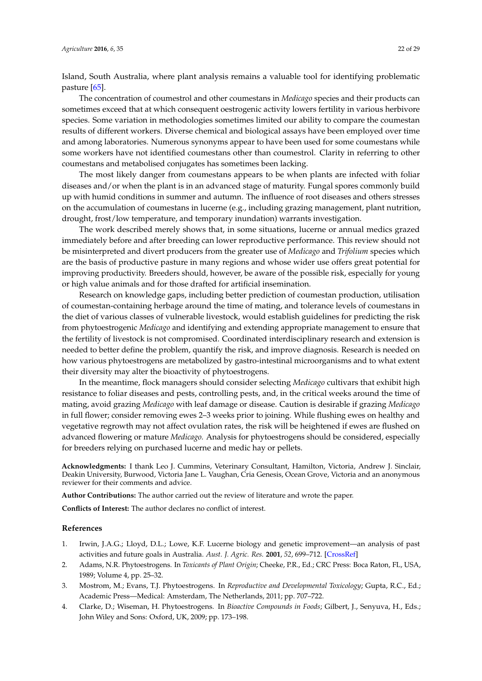Island, South Australia, where plant analysis remains a valuable tool for identifying problematic pasture [\[65\]](#page-24-16).

The concentration of coumestrol and other coumestans in *Medicago* species and their products can sometimes exceed that at which consequent oestrogenic activity lowers fertility in various herbivore species. Some variation in methodologies sometimes limited our ability to compare the coumestan results of different workers. Diverse chemical and biological assays have been employed over time and among laboratories. Numerous synonyms appear to have been used for some coumestans while some workers have not identified coumestans other than coumestrol. Clarity in referring to other coumestans and metabolised conjugates has sometimes been lacking.

The most likely danger from coumestans appears to be when plants are infected with foliar diseases and/or when the plant is in an advanced stage of maturity. Fungal spores commonly build up with humid conditions in summer and autumn. The influence of root diseases and others stresses on the accumulation of coumestans in lucerne (e.g., including grazing management, plant nutrition, drought, frost/low temperature, and temporary inundation) warrants investigation.

The work described merely shows that, in some situations, lucerne or annual medics grazed immediately before and after breeding can lower reproductive performance. This review should not be misinterpreted and divert producers from the greater use of *Medicago* and *Trifolium* species which are the basis of productive pasture in many regions and whose wider use offers great potential for improving productivity. Breeders should, however, be aware of the possible risk, especially for young or high value animals and for those drafted for artificial insemination.

Research on knowledge gaps, including better prediction of coumestan production, utilisation of coumestan-containing herbage around the time of mating, and tolerance levels of coumestans in the diet of various classes of vulnerable livestock, would establish guidelines for predicting the risk from phytoestrogenic *Medicago* and identifying and extending appropriate management to ensure that the fertility of livestock is not compromised. Coordinated interdisciplinary research and extension is needed to better define the problem, quantify the risk, and improve diagnosis. Research is needed on how various phytoestrogens are metabolized by gastro-intestinal microorganisms and to what extent their diversity may alter the bioactivity of phytoestrogens.

In the meantime, flock managers should consider selecting *Medicago* cultivars that exhibit high resistance to foliar diseases and pests, controlling pests, and, in the critical weeks around the time of mating, avoid grazing *Medicago* with leaf damage or disease. Caution is desirable if grazing *Medicago* in full flower; consider removing ewes 2–3 weeks prior to joining. While flushing ewes on healthy and vegetative regrowth may not affect ovulation rates, the risk will be heightened if ewes are flushed on advanced flowering or mature *Medicago.* Analysis for phytoestrogens should be considered, especially for breeders relying on purchased lucerne and medic hay or pellets.

**Acknowledgments:** I thank Leo J. Cummins, Veterinary Consultant, Hamilton, Victoria, Andrew J. Sinclair, Deakin University, Burwood, Victoria Jane L. Vaughan, Cria Genesis, Ocean Grove, Victoria and an anonymous reviewer for their comments and advice.

**Author Contributions:** The author carried out the review of literature and wrote the paper.

**Conflicts of Interest:** The author declares no conflict of interest.

### **References**

- <span id="page-21-0"></span>1. Irwin, J.A.G.; Lloyd, D.L.; Lowe, K.F. Lucerne biology and genetic improvement—an analysis of past activities and future goals in Australia. *Aust. J. Agric. Res.* **2001**, *52*, 699–712. [\[CrossRef\]](http://dx.doi.org/10.1071/AR00181)
- <span id="page-21-1"></span>2. Adams, N.R. Phytoestrogens. In *Toxicants of Plant Origin*; Cheeke, P.R., Ed.; CRC Press: Boca Raton, FL, USA, 1989; Volume 4, pp. 25–32.
- <span id="page-21-2"></span>3. Mostrom, M.; Evans, T.J. Phytoestrogens. In *Reproductive and Developmental Toxicology*; Gupta, R.C., Ed.; Academic Press—Medical: Amsterdam, The Netherlands, 2011; pp. 707–722.
- <span id="page-21-3"></span>4. Clarke, D.; Wiseman, H. Phytoestrogens. In *Bioactive Compounds in Foods*; Gilbert, J., Senyuva, H., Eds.; John Wiley and Sons: Oxford, UK, 2009; pp. 173–198.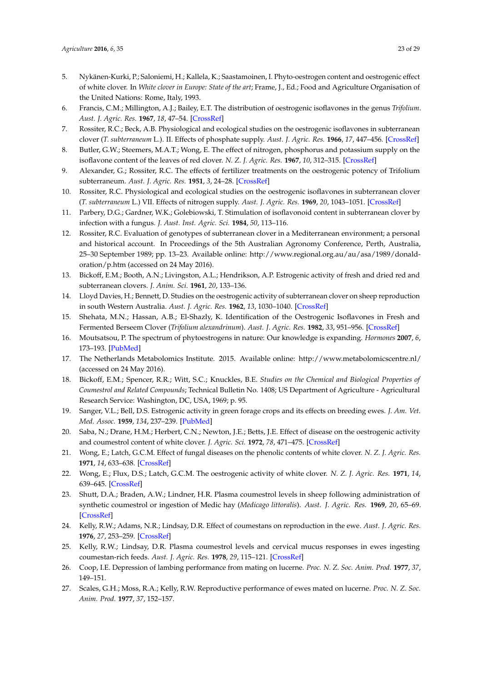- <span id="page-22-0"></span>5. Nykänen-Kurki, P.; Saloniemi, H.; Kallela, K.; Saastamoinen, I. Phyto-oestrogen content and oestrogenic effect of white clover. In *White clover in Europe: State of the art*; Frame, J., Ed.; Food and Agriculture Organisation of the United Nations: Rome, Italy, 1993.
- <span id="page-22-1"></span>6. Francis, C.M.; Millington, A.J.; Bailey, E.T. The distribution of oestrogenic isoflavones in the genus *Trifolium*. *Aust. J. Agric. Res.* **1967**, *18*, 47–54. [\[CrossRef\]](http://dx.doi.org/10.1071/AR9670047)
- <span id="page-22-2"></span>7. Rossiter, R.C.; Beck, A.B. Physiological and ecological studies on the oestrogenic isoflavones in subterranean clover (*T. subterraneum* L.). II. Effects of phosphate supply. *Aust. J. Agric. Res.* **1966**, *17*, 447–456. [\[CrossRef\]](http://dx.doi.org/10.1071/AR9660447)
- <span id="page-22-3"></span>8. Butler, G.W.; Steemers, M.A.T.; Wong, E. The effect of nitrogen, phosphorus and potassium supply on the isoflavone content of the leaves of red clover. *N. Z. J. Agric. Res.* **1967**, *10*, 312–315. [\[CrossRef\]](http://dx.doi.org/10.1080/00288233.1967.10425138)
- <span id="page-22-21"></span><span id="page-22-4"></span>9. Alexander, G.; Rossiter, R.C. The effects of fertilizer treatments on the oestrogenic potency of Trifolium subterraneum. *Aust. J. Agric. Res.* **1951**, *3*, 24–28. [\[CrossRef\]](http://dx.doi.org/10.1071/AR9520024)
- <span id="page-22-5"></span>10. Rossiter, R.C. Physiological and ecological studies on the oestrogenic isoflavones in subterranean clover (*T. subterraneum* L.) VII. Effects of nitrogen supply. *Aust. J. Agric. Res.* **1969**, *20*, 1043–1051. [\[CrossRef\]](http://dx.doi.org/10.1071/AR9691043)
- <span id="page-22-6"></span>11. Parbery, D.G.; Gardner, W.K.; Golebiowski, T. Stimulation of isoflavonoid content in subterranean clover by infection with a fungus. *J. Aust. Inst. Agric. Sci.* **1984**, *50*, 113–116.
- <span id="page-22-7"></span>12. Rossiter, R.C. Evaluation of genotypes of subterranean clover in a Mediterranean environment; a personal and historical account. In Proceedings of the 5th Australian Agronomy Conference, Perth, Australia, 25–30 September 1989; pp. 13–23. Available online: [http://www.regional.org.au/au/asa/1989/donald](http://www.regional.org.au/au/asa/1989/donald-oration/p.htm)[oration/p.htm](http://www.regional.org.au/au/asa/1989/donald-oration/p.htm) (accessed on 24 May 2016).
- <span id="page-22-8"></span>13. Bickoff, E.M.; Booth, A.N.; Livingston, A.L.; Hendrikson, A.P. Estrogenic activity of fresh and dried red and subterranean clovers. *J. Anim. Sci.* **1961**, *20*, 133–136.
- <span id="page-22-9"></span>14. Lloyd Davies, H.; Bennett, D. Studies on the oestrogenic activity of subterranean clover on sheep reproduction in south Western Australia. *Aust. J. Agric. Res.* **1962**, *13*, 1030–1040. [\[CrossRef\]](http://dx.doi.org/10.1071/AR9621030)
- <span id="page-22-10"></span>15. Shehata, M.N.; Hassan, A.B.; El-Shazly, K. Identification of the Oestrogenic Isoflavones in Fresh and Fermented Berseem Clover (*Trifolium alexandrinum*). *Aust. J. Agric. Res.* **1982**, *33*, 951–956. [\[CrossRef\]](http://dx.doi.org/10.1071/AR9820951)
- <span id="page-22-26"></span><span id="page-22-11"></span>16. Moutsatsou, P. The spectrum of phytoestrogens in nature: Our knowledge is expanding. *Hormones* **2007**, *6*, 173–193. [\[PubMed\]](http://www.ncbi.nlm.nih.gov/pubmed/17724002)
- <span id="page-22-22"></span><span id="page-22-12"></span>17. The Netherlands Metabolomics Institute. 2015. Available online: <http://www.metabolomicscentre.nl/> (accessed on 24 May 2016).
- <span id="page-22-23"></span><span id="page-22-13"></span>18. Bickoff, E.M.; Spencer, R.R.; Witt, S.C.; Knuckles, B.E. *Studies on the Chemical and Biological Properties of Coumestrol and Related Compounds*; Technical Bulletin No. 1408; US Department of Agriculture - Agricultural Research Service: Washington, DC, USA, 1969; p. 95.
- <span id="page-22-14"></span>19. Sanger, V.L.; Bell, D.S. Estrogenic activity in green forage crops and its effects on breeding ewes. *J. Am. Vet. Med. Assoc.* **1959**, *134*, 237–239. [\[PubMed\]](http://www.ncbi.nlm.nih.gov/pubmed/13630813)
- <span id="page-22-15"></span>20. Saba, N.; Drane, H.M.; Herbert, C.N.; Newton, J.E.; Betts, J.E. Effect of disease on the oestrogenic activity and coumestrol content of white clover. *J. Agric. Sci.* **1972**, *78*, 471–475. [\[CrossRef\]](http://dx.doi.org/10.1017/S002185960002640X)
- <span id="page-22-16"></span>21. Wong, E.; Latch, G.C.M. Effect of fungal diseases on the phenolic contents of white clover. *N. Z. J. Agric. Res.* **1971**, *14*, 633–638. [\[CrossRef\]](http://dx.doi.org/10.1080/00288233.1971.10421657)
- <span id="page-22-17"></span>22. Wong, E.; Flux, D.S.; Latch, G.C.M. The oestrogenic activity of white clover. *N. Z. J. Agric. Res.* **1971**, *14*, 639–645. [\[CrossRef\]](http://dx.doi.org/10.1080/00288233.1971.10421658)
- <span id="page-22-18"></span>23. Shutt, D.A.; Braden, A.W.; Lindner, H.R. Plasma coumestrol levels in sheep following administration of synthetic coumestrol or ingestion of Medic hay (*Medicago littoralis*). *Aust. J. Agric. Res.* **1969**, *20*, 65–69. [\[CrossRef\]](http://dx.doi.org/10.1071/AR9690065)
- <span id="page-22-24"></span>24. Kelly, R.W.; Adams, N.R.; Lindsay, D.R. Effect of coumestans on reproduction in the ewe. *Aust. J. Agric. Res.* **1976**, *27*, 253–259. [\[CrossRef\]](http://dx.doi.org/10.1071/AR9760253)
- <span id="page-22-19"></span>25. Kelly, R.W.; Lindsay, D.R. Plasma coumestrol levels and cervical mucus responses in ewes ingesting coumestan-rich feeds. *Aust. J. Agric. Res.* **1978**, *29*, 115–121. [\[CrossRef\]](http://dx.doi.org/10.1071/AR9780115)
- <span id="page-22-20"></span>26. Coop, I.E. Depression of lambing performance from mating on lucerne. *Proc. N. Z. Soc. Anim. Prod.* **1977**, *37*, 149–151.
- <span id="page-22-25"></span>27. Scales, G.H.; Moss, R.A.; Kelly, R.W. Reproductive performance of ewes mated on lucerne. *Proc. N. Z. Soc. Anim. Prod.* **1977**, *37*, 152–157.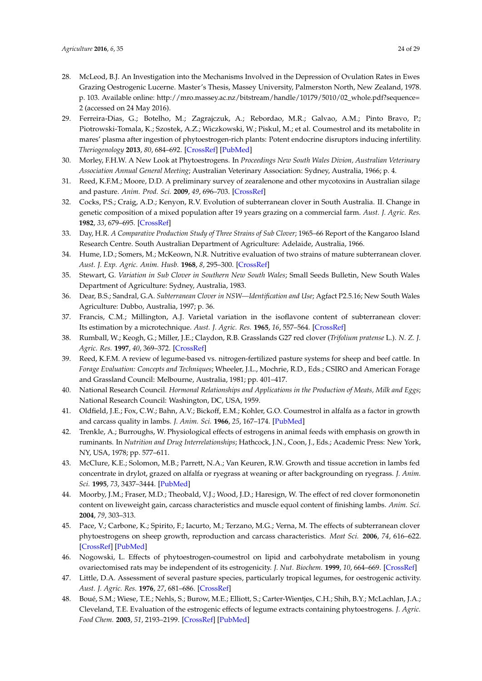- <span id="page-23-22"></span><span id="page-23-21"></span><span id="page-23-0"></span>28. McLeod, B.J. An Investigation into the Mechanisms Involved in the Depression of Ovulation Rates in Ewes Grazing Oestrogenic Lucerne. Master's Thesis, Massey University, Palmerston North, New Zealand, 1978. p. 103. Available online: [http://mro.massey.ac.nz/bitstream/handle/10179/5010/02\\_whole.pdf?sequence=](http://mro.massey.ac.nz/bitstream/handle/10179/5010/02_whole.pdf?sequence=2) [2](http://mro.massey.ac.nz/bitstream/handle/10179/5010/02_whole.pdf?sequence=2) (accessed on 24 May 2016).
- <span id="page-23-1"></span>29. Ferreira-Dias, G.; Botelho, M.; Zagrajczuk, A.; Rebordao, M.R.; Galvao, A.M.; Pinto Bravo, P.; Piotrowski-Tomala, K.; Szostek, A.Z.; Wiczkowski, W.; Piskul, M.; et al. Coumestrol and its metabolite in mares' plasma after ingestion of phytoestrogen-rich plants: Potent endocrine disruptors inducing infertility. *Theriogenology* **2013**, *80*, 684–692. [\[CrossRef\]](http://dx.doi.org/10.1016/j.theriogenology.2013.06.002) [\[PubMed\]](http://www.ncbi.nlm.nih.gov/pubmed/23845774)
- <span id="page-23-2"></span>30. Morley, F.H.W. A New Look at Phytoestrogens. In *Proceedings New South Wales Divion, Australian Veterinary Association Annual General Meeting*; Australian Veterinary Association: Sydney, Australia, 1966; p. 4.
- <span id="page-23-3"></span>31. Reed, K.F.M.; Moore, D.D. A preliminary survey of zearalenone and other mycotoxins in Australian silage and pasture. *Anim. Prod. Sci.* **2009**, *49*, 696–703. [\[CrossRef\]](http://dx.doi.org/10.1071/EA08164)
- <span id="page-23-4"></span>32. Cocks, P.S.; Craig, A.D.; Kenyon, R.V. Evolution of subterranean clover in South Australia. II. Change in genetic composition of a mixed population after 19 years grazing on a commercial farm. *Aust. J. Agric. Res.* **1982**, *33*, 679–695. [\[CrossRef\]](http://dx.doi.org/10.1071/AR9820679)
- <span id="page-23-5"></span>33. Day, H.R. *A Comparative Production Study of Three Strains of Sub Clover*; 1965–66 Report of the Kangaroo Island Research Centre. South Australian Department of Agriculture: Adelaide, Australia, 1966.
- <span id="page-23-6"></span>34. Hume, I.D.; Somers, M.; McKeown, N.R. Nutritive evaluation of two strains of mature subterranean clover. *Aust. J. Exp. Agric. Anim. Husb.* **1968**, *8*, 295–300. [\[CrossRef\]](http://dx.doi.org/10.1071/EA9680295)
- <span id="page-23-7"></span>35. Stewart, G. *Variation in Sub Clover in Southern New South Wales*; Small Seeds Bulletin, New South Wales Department of Agriculture: Sydney, Australia, 1983.
- <span id="page-23-8"></span>36. Dear, B.S.; Sandral, G.A. *Subterranean Clover in NSW—Identification and Use*; Agfact P2.5.16; New South Wales Agriculture: Dubbo, Australia, 1997; p. 36.
- <span id="page-23-9"></span>37. Francis, C.M.; Millington, A.J. Varietal variation in the isoflavone content of subterranean clover: Its estimation by a microtechnique. *Aust. J. Agric. Res.* **1965**, *16*, 557–564. [\[CrossRef\]](http://dx.doi.org/10.1071/AR9650557)
- <span id="page-23-10"></span>38. Rumball, W.; Keogh, G.; Miller, J.E.; Claydon, R.B. Grasslands G27 red clover (*Trifolium pratense* L.). *N. Z. J. Agric. Res.* **1997**, *40*, 369–372. [\[CrossRef\]](http://dx.doi.org/10.1080/00288233.1997.9513257)
- <span id="page-23-11"></span>39. Reed, K.F.M. A review of legume-based vs. nitrogen-fertilized pasture systems for sheep and beef cattle. In *Forage Evaluation: Concepts and Techniques*; Wheeler, J.L., Mochrie, R.D., Eds.; CSIRO and American Forage and Grassland Council: Melbourne, Australia, 1981; pp. 401–417.
- <span id="page-23-12"></span>40. National Research Council. *Hormonal Relationships and Applications in the Production of Meats, Milk and Eggs*; National Research Council: Washington, DC, USA, 1959.
- <span id="page-23-13"></span>41. Oldfield, J.E.; Fox, C.W.; Bahn, A.V.; Bickoff, E.M.; Kohler, G.O. Coumestrol in alfalfa as a factor in growth and carcass quality in lambs. *J. Anim. Sci.* **1966**, *25*, 167–174. [\[PubMed\]](http://www.ncbi.nlm.nih.gov/pubmed/5905500)
- <span id="page-23-14"></span>42. Trenkle, A.; Burroughs, W. Physiological effects of estrogens in animal feeds with emphasis on growth in ruminants. In *Nutrition and Drug Interrelationships*; Hathcock, J.N., Coon, J., Eds.; Academic Press: New York, NY, USA, 1978; pp. 577–611.
- <span id="page-23-15"></span>43. McClure, K.E.; Solomon, M.B.; Parrett, N.A.; Van Keuren, R.W. Growth and tissue accretion in lambs fed concentrate in drylot, grazed on alfalfa or ryegrass at weaning or after backgrounding on ryegrass. *J. Anim. Sci.* **1995**, *73*, 3437–3444. [\[PubMed\]](http://www.ncbi.nlm.nih.gov/pubmed/8586604)
- <span id="page-23-16"></span>44. Moorby, J.M.; Fraser, M.D.; Theobald, V.J.; Wood, J.D.; Haresign, W. The effect of red clover formononetin content on liveweight gain, carcass characteristics and muscle equol content of finishing lambs. *Anim. Sci.* **2004**, *79*, 303–313.
- <span id="page-23-17"></span>45. Pace, V.; Carbone, K.; Spirito, F.; Iacurto, M.; Terzano, M.G.; Verna, M. The effects of subterranean clover phytoestrogens on sheep growth, reproduction and carcass characteristics. *Meat Sci.* **2006**, *74*, 616–622. [\[CrossRef\]](http://dx.doi.org/10.1016/j.meatsci.2006.05.006) [\[PubMed\]](http://www.ncbi.nlm.nih.gov/pubmed/22063214)
- <span id="page-23-18"></span>46. Nogowski, L. Effects of phytoestrogen-coumestrol on lipid and carbohydrate metabolism in young ovariectomised rats may be independent of its estrogenicity. *J. Nut. Biochem.* **1999**, *10*, 664–669. [\[CrossRef\]](http://dx.doi.org/10.1016/S0955-2863(99)00047-9)
- <span id="page-23-19"></span>47. Little, D.A. Assessment of several pasture species, particularly tropical legumes, for oestrogenic activity. *Aust. J. Agric. Res.* **1976**, *27*, 681–686. [\[CrossRef\]](http://dx.doi.org/10.1071/AR9760681)
- <span id="page-23-20"></span>48. Boué, S.M.; Wiese, T.E.; Nehls, S.; Burow, M.E.; Elliott, S.; Carter-Wientjes, C.H.; Shih, B.Y.; McLachlan, J.A.; Cleveland, T.E. Evaluation of the estrogenic effects of legume extracts containing phytoestrogens. *J. Agric. Food Chem.* **2003**, *51*, 2193–2199. [\[CrossRef\]](http://dx.doi.org/10.1021/jf021114s) [\[PubMed\]](http://www.ncbi.nlm.nih.gov/pubmed/12670155)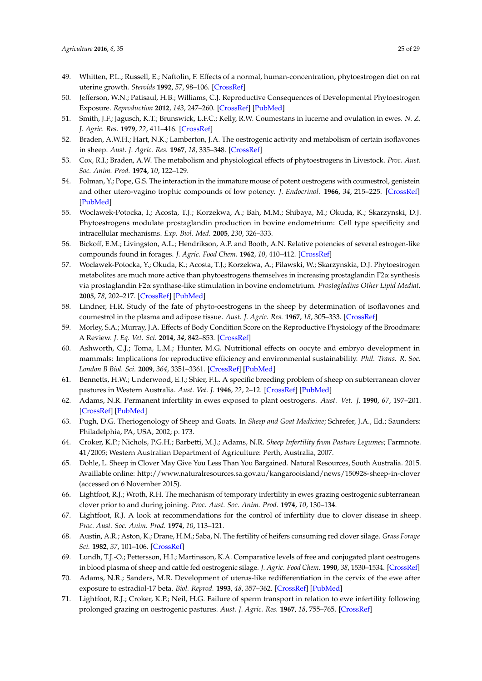- <span id="page-24-23"></span><span id="page-24-0"></span>49. Whitten, P.L.; Russell, E.; Naftolin, F. Effects of a normal, human-concentration, phytoestrogen diet on rat uterine growth. *Steroids* **1992**, *57*, 98–106. [\[CrossRef\]](http://dx.doi.org/10.1016/0039-128X(92)90066-I)
- <span id="page-24-1"></span>50. Jefferson, W.N.; Patisaul, H.B.; Williams, C.J. Reproductive Consequences of Developmental Phytoestrogen Exposure. *Reproduction* **2012**, *143*, 247–260. [\[CrossRef\]](http://dx.doi.org/10.1530/REP-11-0369) [\[PubMed\]](http://www.ncbi.nlm.nih.gov/pubmed/22223686)
- <span id="page-24-2"></span>51. Smith, J.F.; Jagusch, K.T.; Brunswick, L.F.C.; Kelly, R.W. Coumestans in lucerne and ovulation in ewes. *N. Z. J. Agric. Res.* **1979**, *22*, 411–416. [\[CrossRef\]](http://dx.doi.org/10.1080/00288233.1979.10430768)
- <span id="page-24-3"></span>52. Braden, A.W.H.; Hart, N.K.; Lamberton, J.A. The oestrogenic activity and metabolism of certain isoflavones in sheep. *Aust. J. Agric. Res.* **1967**, *18*, 335–348. [\[CrossRef\]](http://dx.doi.org/10.1071/AR9670355)
- <span id="page-24-4"></span>53. Cox, R.I.; Braden, A.W. The metabolism and physiological effects of phytoestrogens in Livestock. *Proc. Aust. Soc. Anim. Prod.* **1974**, *10*, 122–129.
- <span id="page-24-5"></span>54. Folman, Y.; Pope, G.S. The interaction in the immature mouse of potent oestrogens with coumestrol, genistein and other utero-vagino trophic compounds of low potency. *J. Endocrinol.* **1966**, *34*, 215–225. [\[CrossRef\]](http://dx.doi.org/10.1677/joe.0.0340215) [\[PubMed\]](http://www.ncbi.nlm.nih.gov/pubmed/5901836)
- <span id="page-24-6"></span>55. Woclawek-Potocka, I.; Acosta, T.J.; Korzekwa, A.; Bah, M.M.; Shibaya, M.; Okuda, K.; Skarzynski, D.J. Phytoestrogens modulate prostaglandin production in bovine endometrium: Cell type specificity and intracellular mechanisms. *Exp. Biol. Med.* **2005**, *230*, 326–333.
- <span id="page-24-7"></span>56. Bickoff, E.M.; Livingston, A.L.; Hendrikson, A.P. and Booth, A.N. Relative potencies of several estrogen-like compounds found in forages. *J. Agric. Food Chem.* **1962**, *10*, 410–412. [\[CrossRef\]](http://dx.doi.org/10.1021/jf60123a018)
- <span id="page-24-8"></span>57. Woclawek-Potocka, Y.; Okuda, K.; Acosta, T.J.; Korzekwa, A.; Pilawski, W.; Skarzynskia, D.J. Phytoestrogen metabolites are much more active than phytoestrogens themselves in increasing prostaglandin F2α synthesis via prostaglandin F2α synthase-like stimulation in bovine endometrium. *Prostagladins Other Lipid Mediat.* **2005**, *78*, 202–217. [\[CrossRef\]](http://dx.doi.org/10.1016/j.prostaglandins.2005.08.002) [\[PubMed\]](http://www.ncbi.nlm.nih.gov/pubmed/16303617)
- <span id="page-24-9"></span>58. Lindner, H.R. Study of the fate of phyto-oestrogens in the sheep by determination of isoflavones and coumestrol in the plasma and adipose tissue. *Aust. J. Agric. Res.* **1967**, *18*, 305–333. [\[CrossRef\]](http://dx.doi.org/10.1071/AR9670305)
- <span id="page-24-10"></span>59. Morley, S.A.; Murray, J.A. Effects of Body Condition Score on the Reproductive Physiology of the Broodmare: A Review. *J. Eq. Vet. Sci.* **2014**, *34*, 842–853. [\[CrossRef\]](http://dx.doi.org/10.1016/j.jevs.2014.04.001)
- <span id="page-24-11"></span>60. Ashworth, C.J.; Toma, L.M.; Hunter, M.G. Nutritional effects on oocyte and embryo development in mammals: Implications for reproductive efficiency and environmental sustainability. *Phil. Trans. R. Soc. London B Biol. Sci.* **2009**, *364*, 3351–3361. [\[CrossRef\]](http://dx.doi.org/10.1098/rstb.2009.0184) [\[PubMed\]](http://www.ncbi.nlm.nih.gov/pubmed/19833647)
- <span id="page-24-12"></span>61. Bennetts, H.W.; Underwood, E.J.; Shier, F.L. A specific breeding problem of sheep on subterranean clover pastures in Western Australia. *Aust. Vet. J.* **1946**, *22*, 2–12. [\[CrossRef\]](http://dx.doi.org/10.1111/j.1751-0813.1946.tb15473.x) [\[PubMed\]](http://www.ncbi.nlm.nih.gov/pubmed/21028682)
- <span id="page-24-13"></span>62. Adams, N.R. Permanent infertility in ewes exposed to plant oestrogens. *Aust. Vet. J.* **1990**, *67*, 197–201. [\[CrossRef\]](http://dx.doi.org/10.1111/j.1751-0813.1990.tb07758.x) [\[PubMed\]](http://www.ncbi.nlm.nih.gov/pubmed/2222361)
- <span id="page-24-14"></span>63. Pugh, D.G. Theriogenology of Sheep and Goats. In *Sheep and Goat Medicine*; Schrefer, J.A., Ed.; Saunders: Philadelphia, PA, USA, 2002; p. 173.
- <span id="page-24-15"></span>64. Croker, K.P.; Nichols, P.G.H.; Barbetti, M.J.; Adams, N.R. *Sheep Infertility from Pasture Legumes*; Farmnote. 41/2005; Western Australian Department of Agriculture: Perth, Australia, 2007.
- <span id="page-24-16"></span>65. Dohle, L. Sheep in Clover May Give You Less Than You Bargained. Natural Resources, South Australia. 2015. Availlable online: <http://www.naturalresources.sa.gov.au/kangarooisland/news/150928-sheep-in-clover> (accessed on 6 November 2015).
- <span id="page-24-17"></span>66. Lightfoot, R.J.; Wroth, R.H. The mechanism of temporary infertility in ewes grazing oestrogenic subterranean clover prior to and during joining. *Proc. Aust. Soc. Anim. Prod.* **1974**, *10*, 130–134.
- <span id="page-24-18"></span>67. Lightfoot, R.J. A look at recommendations for the control of infertility due to clover disease in sheep. *Proc. Aust. Soc. Anim. Prod.* **1974**, *10*, 113–121.
- <span id="page-24-19"></span>68. Austin, A.R.; Aston, K.; Drane, H.M.; Saba, N. The fertility of heifers consuming red clover silage. *Grass Forage Sci.* **1982**, *37*, 101–106. [\[CrossRef\]](http://dx.doi.org/10.1111/j.1365-2494.1982.tb01584.x)
- <span id="page-24-20"></span>69. Lundh, T.J.-O.; Pettersson, H.I.; Martinsson, K.A. Comparative levels of free and conjugated plant oestrogens in blood plasma of sheep and cattle fed oestrogenic silage. *J. Agric. Food Chem.* **1990**, *38*, 1530–1534. [\[CrossRef\]](http://dx.doi.org/10.1021/jf00097a022)
- <span id="page-24-21"></span>70. Adams, N.R.; Sanders, M.R. Development of uterus-like redifferentiation in the cervix of the ewe after exposure to estradiol-17 beta. *Biol. Reprod.* **1993**, *48*, 357–362. [\[CrossRef\]](http://dx.doi.org/10.1095/biolreprod48.2.357) [\[PubMed\]](http://www.ncbi.nlm.nih.gov/pubmed/8439625)
- <span id="page-24-22"></span>71. Lightfoot, R.J.; Croker, K.P.; Neil, H.G. Failure of sperm transport in relation to ewe infertility following prolonged grazing on oestrogenic pastures. *Aust. J. Agric. Res.* **1967**, *18*, 755–765. [\[CrossRef\]](http://dx.doi.org/10.1071/AR9670755)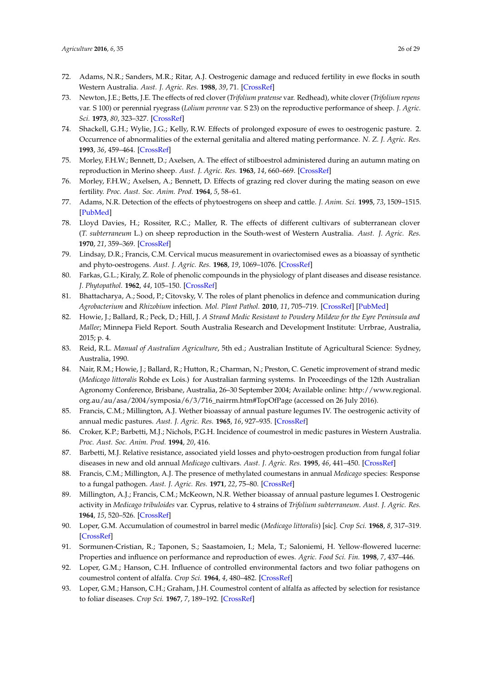- <span id="page-25-0"></span>72. Adams, N.R.; Sanders, M.R.; Ritar, A.J. Oestrogenic damage and reduced fertility in ewe flocks in south Western Australia. *Aust. J. Agric. Res.* **1988**, *39*, 71. [\[CrossRef\]](http://dx.doi.org/10.1071/AR9880071)
- <span id="page-25-1"></span>73. Newton, J.E.; Betts, J.E. The effects of red clover (*Trifolium pratense* var. Redhead), white clover (*Trifolium repens* var. S 100) or perennial ryegrass (*Lolium perenne* var. S 23) on the reproductive performance of sheep. *J. Agric. Sci.* **1973**, *80*, 323–327. [\[CrossRef\]](http://dx.doi.org/10.1017/S0021859600057804)
- <span id="page-25-21"></span><span id="page-25-2"></span>74. Shackell, G.H.; Wylie, J.G.; Kelly, R.W. Effects of prolonged exposure of ewes to oestrogenic pasture. 2. Occurrence of abnormalities of the external genitalia and altered mating performance. *N. Z. J. Agric. Res.* **1993**, *36*, 459–464. [\[CrossRef\]](http://dx.doi.org/10.1080/00288233.1993.10417747)
- <span id="page-25-19"></span><span id="page-25-3"></span>75. Morley, F.H.W.; Bennett, D.; Axelsen, A. The effect of stilboestrol administered during an autumn mating on reproduction in Merino sheep. *Aust. J. Agric. Res.* **1963**, *14*, 660–669. [\[CrossRef\]](http://dx.doi.org/10.1071/AR9630660)
- <span id="page-25-4"></span>76. Morley, F.H.W.; Axelsen, A.; Bennett, D. Effects of grazing red clover during the mating season on ewe fertility. *Proc. Aust. Soc. Anim. Prod.* **1964**, *5*, 58–61.
- <span id="page-25-5"></span>77. Adams, N.R. Detection of the effects of phytoestrogens on sheep and cattle. *J. Anim. Sci.* **1995**, *73*, 1509–1515. [\[PubMed\]](http://www.ncbi.nlm.nih.gov/pubmed/7665383)
- <span id="page-25-18"></span><span id="page-25-6"></span>78. Lloyd Davies, H.; Rossiter, R.C.; Maller, R. The effects of different cultivars of subterranean clover (*T. subterraneum* L.) on sheep reproduction in the South-west of Western Australia. *Aust. J. Agric. Res.* **1970**, *21*, 359–369. [\[CrossRef\]](http://dx.doi.org/10.1071/AR9700359)
- <span id="page-25-17"></span><span id="page-25-7"></span>79. Lindsay, D.R.; Francis, C.M. Cervical mucus measurement in ovariectomised ewes as a bioassay of synthetic and phyto-oestrogens. *Aust. J. Agric. Res.* **1968**, *19*, 1069–1076. [\[CrossRef\]](http://dx.doi.org/10.1071/AR9681069)
- <span id="page-25-8"></span>80. Farkas, G.L.; Kiraly, Z. Role of phenolic compounds in the physiology of plant diseases and disease resistance. *J. Phytopathol.* **1962**, *44*, 105–150. [\[CrossRef\]](http://dx.doi.org/10.1111/j.1439-0434.1962.tb02005.x)
- <span id="page-25-9"></span>81. Bhattacharya, A.; Sood, P.; Citovsky, V. The roles of plant phenolics in defence and communication during *Agrobacterium* and *Rhizobium* infection. *Mol. Plant Pathol.* **2010**, *11*, 705–719. [\[CrossRef\]](http://dx.doi.org/10.1111/j.1364-3703.2010.00625.x) [\[PubMed\]](http://www.ncbi.nlm.nih.gov/pubmed/20696007)
- <span id="page-25-20"></span><span id="page-25-10"></span>82. Howie, J.; Ballard, R.; Peck, D.; Hill, J. *A Strand Medic Resistant to Powdery Mildew for the Eyre Peninsula and Mallee*; Minnepa Field Report. South Australia Research and Development Institute: Urrbrae, Australia, 2015; p. 4.
- <span id="page-25-22"></span><span id="page-25-11"></span>83. Reid, R.L. *Manual of Australian Agriculture*, 5th ed.; Australian Institute of Agricultural Science: Sydney, Australia, 1990.
- <span id="page-25-24"></span><span id="page-25-23"></span><span id="page-25-12"></span>84. Nair, R.M.; Howie, J.; Ballard, R.; Hutton, R.; Charman, N.; Preston, C. Genetic improvement of strand medic (*Medicago littoralis* Rohde ex Lois.) for Australian farming systems. In Proceedings of the 12th Australian Agronomy Conference, Brisbane, Australia, 26–30 September 2004; Available online: [http://www.regional.](http://www.regional.org.au/au/asa/2004/symposia/6/3/716_nairrm.htm#TopOfPage) [org.au/au/asa/2004/symposia/6/3/716\\_nairrm.htm#TopOfPage](http://www.regional.org.au/au/asa/2004/symposia/6/3/716_nairrm.htm#TopOfPage) (accessed on 26 July 2016).
- <span id="page-25-13"></span>85. Francis, C.M.; Millington, A.J. Wether bioassay of annual pasture legumes IV. The oestrogenic activity of annual medic pastures. *Aust. J. Agric. Res.* **1965**, *16*, 927–935. [\[CrossRef\]](http://dx.doi.org/10.1071/AR9650927)
- <span id="page-25-14"></span>86. Croker, K.P.; Barbetti, M.J.; Nichols, P.G.H. Incidence of coumestrol in medic pastures in Western Australia. *Proc. Aust. Soc. Anim. Prod.* **1994**, *20*, 416.
- <span id="page-25-15"></span>87. Barbetti, M.J. Relative resistance, associated yield losses and phyto-oestrogen production from fungal foliar diseases in new and old annual *Medicago* cultivars. *Aust. J. Agric. Res.* **1995**, *46*, 441–450. [\[CrossRef\]](http://dx.doi.org/10.1071/AR9950441)
- <span id="page-25-16"></span>88. Francis, C.M.; Millington, A.J. The presence of methylated coumestans in annual *Medicago* species: Response to a fungal pathogen. *Aust. J. Agric. Res.* **1971**, *22*, 75–80. [\[CrossRef\]](http://dx.doi.org/10.1071/AR9710075)
- 89. Millington, A.J.; Francis, C.M.; McKeown, N.R. Wether bioassay of annual pasture legumes I. Oestrogenic activity in *Medicago tribuloides* var. Cyprus, relative to 4 strains of *Trifolium subterraneum*. *Aust. J. Agric. Res.* **1964**, *15*, 520–526. [\[CrossRef\]](http://dx.doi.org/10.1071/AR9640520)
- 90. Loper, G.M. Accumulation of coumestrol in barrel medic (*Medicago littoralis*) [sic]. *Crop Sci.* **1968**, *8*, 317–319. [\[CrossRef\]](http://dx.doi.org/10.2135/cropsci1968.0011183X000800030016x)
- <span id="page-25-27"></span>91. Sormunen-Cristian, R.; Taponen, S.; Saastamoien, I.; Mela, T.; Saloniemi, H. Yellow-flowered lucerne: Properties and influence on performance and reproduction of ewes. *Agric. Food Sci. Fin.* **1998**, *7*, 437–446.
- <span id="page-25-25"></span>92. Loper, G.M.; Hanson, C.H. Influence of controlled environmental factors and two foliar pathogens on coumestrol content of alfalfa. *Crop Sci.* **1964**, *4*, 480–482. [\[CrossRef\]](http://dx.doi.org/10.2135/cropsci1964.0011183X000400050013x)
- <span id="page-25-26"></span>93. Loper, G.M.; Hanson, C.H.; Graham, J.H. Coumestrol content of alfalfa as affected by selection for resistance to foliar diseases. *Crop Sci.* **1967**, *7*, 189–192. [\[CrossRef\]](http://dx.doi.org/10.2135/cropsci1967.0011183X000700030006x)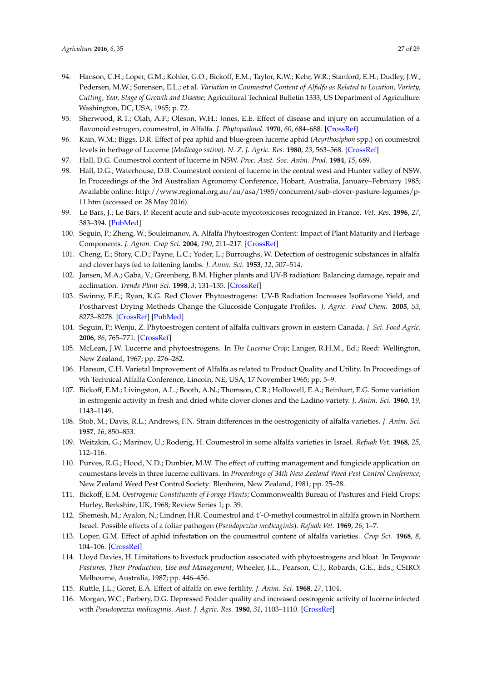- <span id="page-26-23"></span><span id="page-26-6"></span><span id="page-26-5"></span><span id="page-26-4"></span><span id="page-26-3"></span><span id="page-26-2"></span><span id="page-26-1"></span><span id="page-26-0"></span>94. Hanson, C.H.; Loper, G.M.; Kohler, G.O.; Bickoff, E.M.; Taylor, K.W.; Kehr, W.R.; Stanford, E.H.; Dudley, J.W.; Pedersen, M.W.; Sorensen, E.L.; et al. *Variation in Coumestrol Content of Alfalfa as Related to Location, Variety, Cutting, Year, Stage of Growth and Disease*; Agricultural Technical Bulletin 1333; US Department of Agriculture: Washington, DC, USA, 1965; p. 72.
- <span id="page-26-7"></span>95. Sherwood, R.T.; Olah, A.F.; Oleson, W.H.; Jones, E.E. Effect of disease and injury on accumulation of a flavonoid estrogen, coumestrol, in Alfalfa. *J. Phytopathnol.* **1970**, *60*, 684–688. [\[CrossRef\]](http://dx.doi.org/10.1094/Phyto-60-684)
- <span id="page-26-25"></span>96. Kain, W.M.; Biggs, D.R. Effect of pea aphid and blue-green lucerne aphid (*Acyrthosiphon* spp.) on coumestrol levels in herbage of Lucerne (*Medicago sativa*). *N. Z. J. Agric. Res.* **1980**, *23*, 563–568. [\[CrossRef\]](http://dx.doi.org/10.1080/00288233.1980.10417883)
- <span id="page-26-21"></span>97. Hall, D.G. Coumestrol content of lucerne in NSW. *Proc. Aust. Soc. Anim. Prod.* **1984**, *15*, 689.
- <span id="page-26-22"></span>98. Hall, D.G.; Waterhouse, D.B. Coumestrol content of lucerne in the central west and Hunter valley of NSW. In Proceedings of the 3rd Australian Agronomy Conference, Hobart, Australia, January–February 1985; Available online: [http://www.regional.org.au/au/asa/1985/concurrent/sub-clover-pasture-legumes/p-](http://www.regional.org.au/au/asa/1985/concurrent/sub-clover-pasture-legumes/p-11.htm)[11.htm](http://www.regional.org.au/au/asa/1985/concurrent/sub-clover-pasture-legumes/p-11.htm) (accessed on 28 May 2016).
- <span id="page-26-15"></span>99. Le Bars, J.; Le Bars, P. Recent acute and sub-acute mycotoxicoses recognized in France. *Vet. Res.* **1996**, *27*, 383–394. [\[PubMed\]](http://www.ncbi.nlm.nih.gov/pubmed/8822609)
- <span id="page-26-11"></span>100. Seguin, P.; Zheng, W.; Souleimanov, A. Alfalfa Phytoestrogen Content: Impact of Plant Maturity and Herbage Components. *J. Agron. Crop Sci.* **2004**, *190*, 211–217. [\[CrossRef\]](http://dx.doi.org/10.1111/j.1439-037X.2004.00100.x)
- <span id="page-26-8"></span>101. Cheng, E.; Story, C.D.; Payne, L.C.; Yoder, L.; Burroughs, W. Detection of oestrogenic substances in alfalfa and clover hays fed to fattening lambs. *J. Anim. Sci.* **1953**, *12*, 507–514.
- <span id="page-26-9"></span>102. Jansen, M.A.; Gaba, V.; Greenberg, B.M. Higher plants and UV-B radiation: Balancing damage, repair and acclimation. *Trends Plant Sci.* **1998**, *3*, 131–135. [\[CrossRef\]](http://dx.doi.org/10.1016/S1360-1385(98)01215-1)
- <span id="page-26-10"></span>103. Swinny, E.E.; Ryan, K.G. Red Clover Phytoestrogens: UV-B Radiation Increases Isoflavone Yield, and Postharvest Drying Methods Change the Glucoside Conjugate Profiles. *J. Agric. Food Chem.* **2005**, *53*, 8273–8278. [\[CrossRef\]](http://dx.doi.org/10.1021/jf051431+) [\[PubMed\]](http://www.ncbi.nlm.nih.gov/pubmed/16218675)
- <span id="page-26-12"></span>104. Seguin, P.; Wenju, Z. Phytoestrogen content of alfalfa cultivars grown in eastern Canada. *J. Sci. Food Agric.* **2006**, *86*, 765–771. [\[CrossRef\]](http://dx.doi.org/10.1002/jsfa.2412)
- <span id="page-26-13"></span>105. McLean, J.W. Lucerne and phytoestrogens. In *The Lucerne Crop*; Langer, R.H.M., Ed.; Reed: Wellington, New Zealand, 1967; pp. 276–282.
- <span id="page-26-14"></span>106. Hanson, C.H. Varietal Improvement of Alfalfa as related to Product Quality and Utility. In Proceedings of 9th Technical Alfalfa Conference, Lincoln, NE, USA, 17 November 1965; pp. 5–9.
- <span id="page-26-16"></span>107. Bickoff, E.M.; Livingston, A.L.; Booth, A.N.; Thomson, C.R.; Hollowell, E.A.; Beinhart, E.G. Some variation in estrogenic activity in fresh and dried white clover clones and the Ladino variety. *J. Anim. Sci.* **1960**, *19*, 1143–1149.
- <span id="page-26-17"></span>108. Stob, M.; Davis, R.L.; Andrews, F.N. Strain differences in the oestrogenicity of alfalfa varieties. *J. Anim. Sci.* **1957**, *16*, 850–853.
- 109. Weitzkin, G.; Marinov, U.; Roderig, H. Coumestrol in some alfalfa varieties in Israel. *Refuah Vet.* **1968**, *25*, 112–116.
- <span id="page-26-18"></span>110. Purves, R.G.; Hood, N.D.; Dunbier, M.W. The effect of cutting management and fungicide application on coumestans levels in three lucerne cultivars. In *Proceedings of 34th New Zealand Weed Pest Control Conference*; New Zealand Weed Pest Control Society: Blenheim, New Zealand, 1981; pp. 25–28.
- <span id="page-26-19"></span>111. Bickoff, E.M. *Oestrogenic Constituents of Forage Plants*; Commonwealth Bureau of Pastures and Field Crops: Hurley, Berkshire, UK, 1968; Review Series 1; p. 39.
- <span id="page-26-20"></span>112. Shemesh, M.; Ayalon, N.; Lindner, H.R. Coumestrol and 4'-*O*-methyl coumestrol in alfalfa grown in Northern Israel. Possible effects of a foliar pathogen (*Pseudopeziza medicaginis*). *Refuah Vet.* **1969**, *26*, 1–7.
- <span id="page-26-24"></span>113. Loper, G.M. Effect of aphid infestation on the coumestrol content of alfalfa varieties. *Crop Sci.* **1968**, *8*, 104–106. [\[CrossRef\]](http://dx.doi.org/10.2135/cropsci1968.0011183X000800010031x)
- <span id="page-26-26"></span>114. Lloyd Davies, H. Limitations to livestock production associated with phytoestrogens and bloat. In *Temperate Pastures, Their Production, Use and Management*; Wheeler, J.L., Pearson, C.J., Robards, G.E., Eds.; CSIRO: Melbourne, Australia, 1987; pp. 446–456.
- <span id="page-26-27"></span>115. Ruttle, J.L.; Goret, E.A. Effect of alfalfa on ewe fertility. *J. Anim. Sci.* **1968**, *27*, 1104.
- <span id="page-26-28"></span>116. Morgan, W.C.; Parbery, D.G. Depressed Fodder quality and increased oestrogenic activity of lucerne infected with *Pseudopeziza medicaginis*. *Aust. J. Agric. Res.* **1980**, *31*, 1103–1110. [\[CrossRef\]](http://dx.doi.org/10.1071/AR9801103)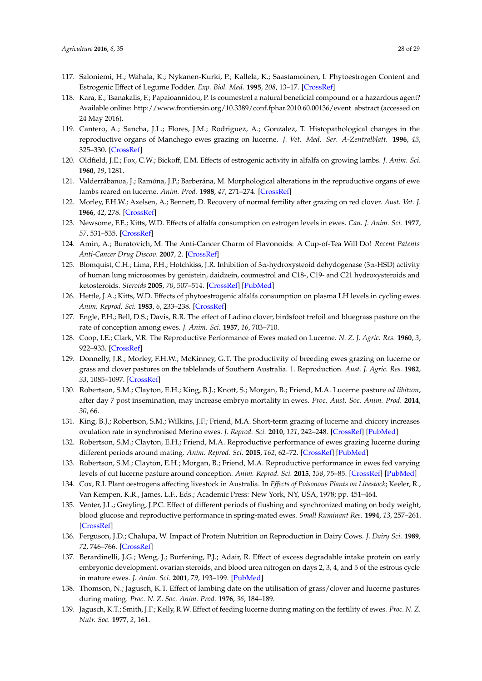- <span id="page-27-12"></span><span id="page-27-0"></span>117. Saloniemi, H.; Wahala, K.; Nykanen-Kurki, P.; Kallela, K.; Saastamoinen, I. Phytoestrogen Content and Estrogenic Effect of Legume Fodder. *Exp. Biol. Med.* **1995**, *208*, 13–17. [\[CrossRef\]](http://dx.doi.org/10.3181/00379727-208-43825)
- <span id="page-27-10"></span><span id="page-27-1"></span>118. Kara, E.; Tsanakalis, F.; Papaioannidou, P. Is coumestrol a natural beneficial compound or a hazardous agent? Available online: [http://www.frontiersin.org/10.3389/conf.fphar.2010.60.00136/event\\_abstract](http://www.frontiersin.org/10.3389/conf.fphar.2010.60.00136/event_abstract) (accessed on 24 May 2016).
- <span id="page-27-11"></span><span id="page-27-2"></span>119. Cantero, A.; Sancha, J.L.; Flores, J.M.; Rodriguez, A.; Gonzalez, T. Histopathological changes in the reproductive organs of Manchego ewes grazing on lucerne. *J. Vet. Med. Ser. A-Zentralblatt.* **1996**, *43*, 325–330. [\[CrossRef\]](http://dx.doi.org/10.1111/j.1439-0442.1996.tb00459.x)
- <span id="page-27-3"></span>120. Oldfield, J.E.; Fox, C.W.; Bickoff, E.M. Effects of estrogenic activity in alfalfa on growing lambs. *J. Anim. Sci.* **1960**, *19*, 1281.
- <span id="page-27-13"></span><span id="page-27-4"></span>121. Valderrábanoa, J.; Ramóna, J.P.; Barberána, M. Morphological alterations in the reproductive organs of ewe lambs reared on lucerne. *Anim. Prod.* **1988**, *47*, 271–274. [\[CrossRef\]](http://dx.doi.org/10.1017/S0003356100003354)
- <span id="page-27-5"></span>122. Morley, F.H.W.; Axelsen, A.; Bennett, D. Recovery of normal fertility after grazing on red clover. *Aust. Vet. J.* **1966**, *42*, 278. [\[CrossRef\]](http://dx.doi.org/10.1111/j.1751-0813.1966.tb08835.x)
- <span id="page-27-14"></span><span id="page-27-6"></span>123. Newsome, F.E.; Kitts, W.D. Effects of alfalfa consumption on estrogen levels in ewes. *Can. J. Anim. Sci.* **1977**, *57*, 531–535. [\[CrossRef\]](http://dx.doi.org/10.4141/cjas77-068)
- <span id="page-27-15"></span><span id="page-27-7"></span>124. Amin, A.; Buratovich, M. The Anti-Cancer Charm of Flavonoids: A Cup-of-Tea Will Do! *Recent Patents Anti-Cancer Drug Discov.* **2007**, *2*. [\[CrossRef\]](http://dx.doi.org/10.2174/157489207780832414)
- <span id="page-27-8"></span>125. Blomquist, C.H.; Lima, P.H.; Hotchkiss, J.R. Inhibition of 3α-hydroxysteoid dehydogenase (3α-HSD) activity of human lung microsomes by genistein, daidzein, coumestrol and C18-, C19- and C21 hydroxysteroids and ketosteroids. *Steroids* **2005**, *70*, 507–514. [\[CrossRef\]](http://dx.doi.org/10.1016/j.steroids.2005.01.004) [\[PubMed\]](http://www.ncbi.nlm.nih.gov/pubmed/15894034)
- <span id="page-27-26"></span><span id="page-27-9"></span>126. Hettle, J.A.; Kitts, W.D. Effects of phytoestrogenic alfalfa consumption on plasma LH levels in cycling ewes. *Anim. Reprod. Sci.* **1983**, *6*, 233–238. [\[CrossRef\]](http://dx.doi.org/10.1016/0378-4320(83)90043-X)
- 127. Engle, P.H.; Bell, D.S.; Davis, R.R. The effect of Ladino clover, birdsfoot trefoil and bluegrass pasture on the rate of conception among ewes. *J. Anim. Sci.* **1957**, *16*, 703–710.
- <span id="page-27-16"></span>128. Coop, I.E.; Clark, V.R. The Reproductive Performance of Ewes mated on Lucerne. *N. Z. J. Agric. Res.* **1960**, *3*, 922–933. [\[CrossRef\]](http://dx.doi.org/10.1080/00288233.1960.10419307)
- <span id="page-27-17"></span>129. Donnelly, J.R.; Morley, F.H.W.; McKinney, G.T. The productivity of breeding ewes grazing on lucerne or grass and clover pastures on the tablelands of Southern Australia. 1. Reproduction. *Aust. J. Agric. Res.* **1982**, *33*, 1085–1097. [\[CrossRef\]](http://dx.doi.org/10.1071/AR9821085)
- 130. Robertson, S.M.; Clayton, E.H.; King, B.J.; Knott, S.; Morgan, B.; Friend, M.A. Lucerne pasture *ad libitum*, after day 7 post insemination, may increase embryo mortality in ewes. *Proc. Aust. Soc. Anim. Prod.* **2014**, *30*, 66.
- 131. King, B.J.; Robertson, S.M.; Wilkins, J.F.; Friend, M.A. Short-term grazing of lucerne and chicory increases ovulation rate in synchronised Merino ewes. *J. Reprod. Sci.* **2010**, *121*, 242–248. [\[CrossRef\]](http://dx.doi.org/10.1016/j.anireprosci.2010.06.007) [\[PubMed\]](http://www.ncbi.nlm.nih.gov/pubmed/20678872)
- <span id="page-27-21"></span>132. Robertson, S.M.; Clayton, E.H.; Friend, M.A. Reproductive performance of ewes grazing lucerne during different periods around mating. *Anim. Reprod. Sci.* **2015**, *162*, 62–72. [\[CrossRef\]](http://dx.doi.org/10.1016/j.anireprosci.2015.09.009) [\[PubMed\]](http://www.ncbi.nlm.nih.gov/pubmed/26454684)
- <span id="page-27-18"></span>133. Robertson, S.M.; Clayton, E.H.; Morgan, B.; Friend, M.A. Reproductive performance in ewes fed varying levels of cut lucerne pasture around conception. *Anim. Reprod. Sci.* **2015**, *158*, 75–85. [\[CrossRef\]](http://dx.doi.org/10.1016/j.anireprosci.2015.05.001) [\[PubMed\]](http://www.ncbi.nlm.nih.gov/pubmed/26024965)
- <span id="page-27-19"></span>134. Cox, R.I. Plant oestrogens affecting livestock in Australia. In *Effects of Poisonous Plants on Livestock*; Keeler, R., Van Kempen, K.R., James, L.F., Eds.; Academic Press: New York, NY, USA, 1978; pp. 451–464.
- <span id="page-27-20"></span>135. Venter, J.L.; Greyling, J.P.C. Effect of different periods of flushing and synchronized mating on body weight, blood glucose and reproductive performance in spring-mated ewes. *Small Ruminant Res.* **1994**, *13*, 257–261. [\[CrossRef\]](http://dx.doi.org/10.1016/0921-4488(94)90073-6)
- <span id="page-27-22"></span>136. Ferguson, J.D.; Chalupa, W. Impact of Protein Nutrition on Reproduction in Dairy Cows. *J. Dairy Sci.* **1989**, *72*, 746–766. [\[CrossRef\]](http://dx.doi.org/10.3168/jds.S0022-0302(89)79168-2)
- <span id="page-27-23"></span>137. Berardinelli, J.G.; Weng, J.; Burfening, P.J.; Adair, R. Effect of excess degradable intake protein on early embryonic development, ovarian steroids, and blood urea nitrogen on days 2, 3, 4, and 5 of the estrous cycle in mature ewes. *J. Anim. Sci.* **2001**, *79*, 193–199. [\[PubMed\]](http://www.ncbi.nlm.nih.gov/pubmed/11204701)
- <span id="page-27-24"></span>138. Thomson, N.; Jagusch, K.T. Effect of lambing date on the utilisation of grass/clover and lucerne pastures during mating. *Proc. N. Z. Soc. Anim. Prod.* **1976**, *36*, 184–189.
- <span id="page-27-25"></span>139. Jagusch, K.T.; Smith, J.F.; Kelly, R.W. Effect of feeding lucerne during mating on the fertility of ewes. *Proc. N. Z. Nutr. Soc.* **1977**, *2*, 161.